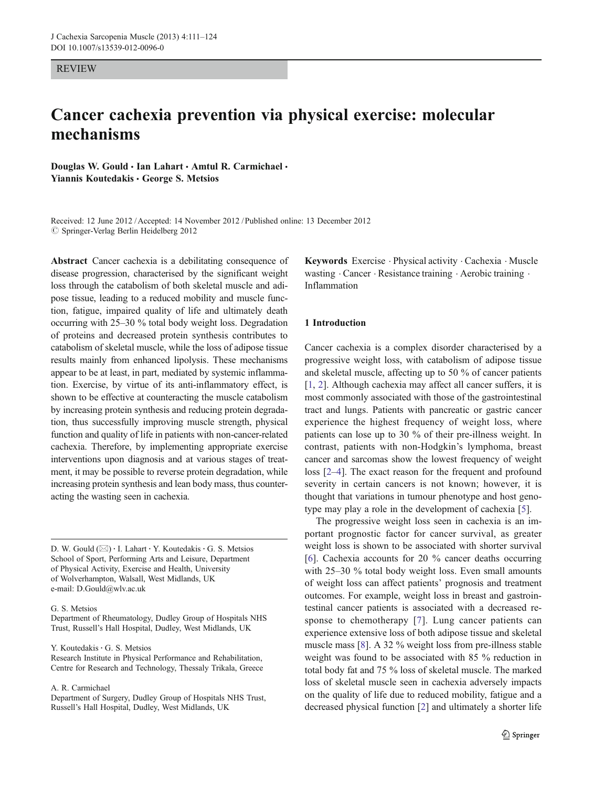#### REVIEW

# Cancer cachexia prevention via physical exercise: molecular mechanisms

Douglas W. Gould · Ian Lahart · Amtul R. Carmichael · Yiannis Koutedakis · George S. Metsios

Received: 12 June 2012 / Accepted: 14 November 2012 / Published online: 13 December 2012  $\oslash$  Springer-Verlag Berlin Heidelberg 2012

Abstract Cancer cachexia is a debilitating consequence of disease progression, characterised by the significant weight loss through the catabolism of both skeletal muscle and adipose tissue, leading to a reduced mobility and muscle function, fatigue, impaired quality of life and ultimately death occurring with 25–30 % total body weight loss. Degradation of proteins and decreased protein synthesis contributes to catabolism of skeletal muscle, while the loss of adipose tissue results mainly from enhanced lipolysis. These mechanisms appear to be at least, in part, mediated by systemic inflammation. Exercise, by virtue of its anti-inflammatory effect, is shown to be effective at counteracting the muscle catabolism by increasing protein synthesis and reducing protein degradation, thus successfully improving muscle strength, physical function and quality of life in patients with non-cancer-related cachexia. Therefore, by implementing appropriate exercise interventions upon diagnosis and at various stages of treatment, it may be possible to reverse protein degradation, while increasing protein synthesis and lean body mass, thus counteracting the wasting seen in cachexia.

D. W. Gould (⊠) · I. Lahart · Y. Koutedakis · G. S. Metsios School of Sport, Performing Arts and Leisure, Department of Physical Activity, Exercise and Health, University of Wolverhampton, Walsall, West Midlands, UK e-mail: D.Gould@wlv.ac.uk

G. S. Metsios

Department of Rheumatology, Dudley Group of Hospitals NHS Trust, Russell's Hall Hospital, Dudley, West Midlands, UK

Y. Koutedakis · G. S. Metsios

Research Institute in Physical Performance and Rehabilitation, Centre for Research and Technology, Thessaly Trikala, Greece

A. R. Carmichael

Department of Surgery, Dudley Group of Hospitals NHS Trust, Russell's Hall Hospital, Dudley, West Midlands, UK

Keywords Exercise . Physical activity . Cachexia . Muscle wasting . Cancer . Resistance training . Aerobic training . Inflammation

#### 1 Introduction

Cancer cachexia is a complex disorder characterised by a progressive weight loss, with catabolism of adipose tissue and skeletal muscle, affecting up to 50 % of cancer patients [\[1](#page-7-0), [2\]](#page-7-0). Although cachexia may affect all cancer suffers, it is most commonly associated with those of the gastrointestinal tract and lungs. Patients with pancreatic or gastric cancer experience the highest frequency of weight loss, where patients can lose up to 30 % of their pre-illness weight. In contrast, patients with non-Hodgkin's lymphoma, breast cancer and sarcomas show the lowest frequency of weight loss [\[2](#page-7-0)–[4](#page-7-0)]. The exact reason for the frequent and profound severity in certain cancers is not known; however, it is thought that variations in tumour phenotype and host genotype may play a role in the development of cachexia [[5\]](#page-7-0).

The progressive weight loss seen in cachexia is an important prognostic factor for cancer survival, as greater weight loss is shown to be associated with shorter survival [\[6](#page-7-0)]. Cachexia accounts for 20 % cancer deaths occurring with 25–30 % total body weight loss. Even small amounts of weight loss can affect patients' prognosis and treatment outcomes. For example, weight loss in breast and gastrointestinal cancer patients is associated with a decreased response to chemotherapy [[7\]](#page-7-0). Lung cancer patients can experience extensive loss of both adipose tissue and skeletal muscle mass [\[8](#page-7-0)]. A 32 % weight loss from pre-illness stable weight was found to be associated with 85 % reduction in total body fat and 75 % loss of skeletal muscle. The marked loss of skeletal muscle seen in cachexia adversely impacts on the quality of life due to reduced mobility, fatigue and a decreased physical function [[2\]](#page-7-0) and ultimately a shorter life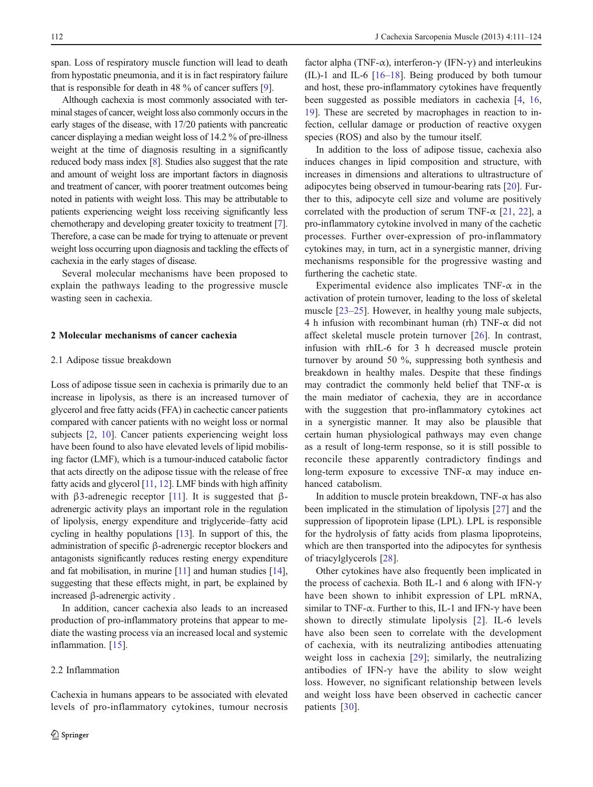span. Loss of respiratory muscle function will lead to death from hypostatic pneumonia, and it is in fact respiratory failure that is responsible for death in 48 % of cancer suffers [[9\]](#page-7-0).

Although cachexia is most commonly associated with terminal stages of cancer, weight loss also commonly occurs in the early stages of the disease, with 17/20 patients with pancreatic cancer displaying a median weight loss of 14.2 % of pre-illness weight at the time of diagnosis resulting in a significantly reduced body mass index [\[8](#page-7-0)]. Studies also suggest that the rate and amount of weight loss are important factors in diagnosis and treatment of cancer, with poorer treatment outcomes being noted in patients with weight loss. This may be attributable to patients experiencing weight loss receiving significantly less chemotherapy and developing greater toxicity to treatment [\[7\]](#page-7-0). Therefore, a case can be made for trying to attenuate or prevent weight loss occurring upon diagnosis and tackling the effects of cachexia in the early stages of disease.

Several molecular mechanisms have been proposed to explain the pathways leading to the progressive muscle wasting seen in cachexia.

### 2 Molecular mechanisms of cancer cachexia

# 2.1 Adipose tissue breakdown

Loss of adipose tissue seen in cachexia is primarily due to an increase in lipolysis, as there is an increased turnover of glycerol and free fatty acids (FFA) in cachectic cancer patients compared with cancer patients with no weight loss or normal subjects [\[2,](#page-7-0) [10\]](#page-7-0). Cancer patients experiencing weight loss have been found to also have elevated levels of lipid mobilising factor (LMF), which is a tumour-induced catabolic factor that acts directly on the adipose tissue with the release of free fatty acids and glycerol [[11,](#page-8-0) [12](#page-8-0)]. LMF binds with high affinity with β3-adrenegic receptor [\[11](#page-8-0)]. It is suggested that βadrenergic activity plays an important role in the regulation of lipolysis, energy expenditure and triglyceride–fatty acid cycling in healthy populations [\[13\]](#page-8-0). In support of this, the administration of specific β-adrenergic receptor blockers and antagonists significantly reduces resting energy expenditure and fat mobilisation, in murine [[11](#page-8-0)] and human studies [[14\]](#page-8-0), suggesting that these effects might, in part, be explained by increased β-adrenergic activity .

In addition, cancer cachexia also leads to an increased production of pro-inflammatory proteins that appear to mediate the wasting process via an increased local and systemic inflammation. [[15\]](#page-8-0).

#### 2.2 Inflammation

Cachexia in humans appears to be associated with elevated levels of pro-inflammatory cytokines, tumour necrosis

factor alpha (TNF-α), interferon-γ (IFN-γ) and interleukins (IL)-1 and IL-6 [[16](#page-8-0)–[18\]](#page-8-0). Being produced by both tumour and host, these pro-inflammatory cytokines have frequently been suggested as possible mediators in cachexia [[4,](#page-7-0) [16,](#page-8-0) [19](#page-8-0)]. These are secreted by macrophages in reaction to infection, cellular damage or production of reactive oxygen species (ROS) and also by the tumour itself.

In addition to the loss of adipose tissue, cachexia also induces changes in lipid composition and structure, with increases in dimensions and alterations to ultrastructure of adipocytes being observed in tumour-bearing rats [[20\]](#page-8-0). Further to this, adipocyte cell size and volume are positively correlated with the production of serum TNF- $\alpha$  [\[21](#page-8-0), [22\]](#page-8-0), a pro-inflammatory cytokine involved in many of the cachetic processes. Further over-expression of pro-inflammatory cytokines may, in turn, act in a synergistic manner, driving mechanisms responsible for the progressive wasting and furthering the cachetic state.

Experimental evidence also implicates  $TNF-\alpha$  in the activation of protein turnover, leading to the loss of skeletal muscle [[23](#page-8-0)–[25](#page-8-0)]. However, in healthy young male subjects, 4 h infusion with recombinant human (rh) TNF- $\alpha$  did not affect skeletal muscle protein turnover [[26\]](#page-8-0). In contrast, infusion with rhIL-6 for 3 h decreased muscle protein turnover by around 50 %, suppressing both synthesis and breakdown in healthy males. Despite that these findings may contradict the commonly held belief that TNF- $\alpha$  is the main mediator of cachexia, they are in accordance with the suggestion that pro-inflammatory cytokines act in a synergistic manner. It may also be plausible that certain human physiological pathways may even change as a result of long-term response, so it is still possible to reconcile these apparently contradictory findings and long-term exposure to excessive TNF- $\alpha$  may induce enhanced catabolism.

In addition to muscle protein breakdown, TNF- $\alpha$  has also been implicated in the stimulation of lipolysis [\[27](#page-8-0)] and the suppression of lipoprotein lipase (LPL). LPL is responsible for the hydrolysis of fatty acids from plasma lipoproteins, which are then transported into the adipocytes for synthesis of triacylglycerols [[28\]](#page-8-0).

Other cytokines have also frequently been implicated in the process of cachexia. Both IL-1 and 6 along with IFN-γ have been shown to inhibit expression of LPL mRNA, similar to TNF- $\alpha$ . Further to this, IL-1 and IFN- $\gamma$  have been shown to directly stimulate lipolysis [[2](#page-7-0)]. IL-6 levels have also been seen to correlate with the development of cachexia, with its neutralizing antibodies attenuating weight loss in cachexia [\[29](#page-8-0)]; similarly, the neutralizing antibodies of IFN- $\gamma$  have the ability to slow weight loss. However, no significant relationship between levels and weight loss have been observed in cachectic cancer patients [\[30\]](#page-8-0).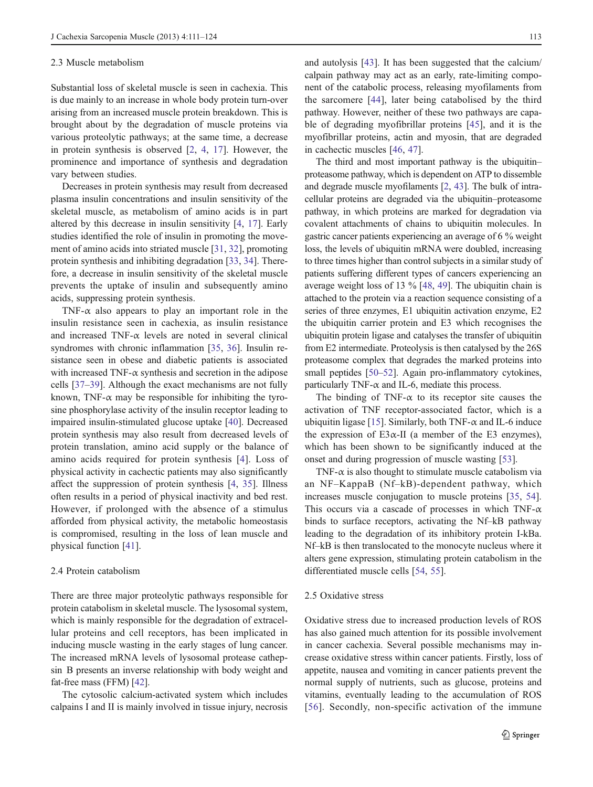#### 2.3 Muscle metabolism

Substantial loss of skeletal muscle is seen in cachexia. This is due mainly to an increase in whole body protein turn-over arising from an increased muscle protein breakdown. This is brought about by the degradation of muscle proteins via various proteolytic pathways; at the same time, a decrease in protein synthesis is observed [\[2](#page-7-0), [4](#page-7-0), [17](#page-8-0)]. However, the prominence and importance of synthesis and degradation vary between studies.

Decreases in protein synthesis may result from decreased plasma insulin concentrations and insulin sensitivity of the skeletal muscle, as metabolism of amino acids is in part altered by this decrease in insulin sensitivity [[4,](#page-7-0) [17\]](#page-8-0). Early studies identified the role of insulin in promoting the movement of amino acids into striated muscle [\[31](#page-8-0), [32\]](#page-8-0), promoting protein synthesis and inhibiting degradation [[33,](#page-8-0) [34\]](#page-8-0). Therefore, a decrease in insulin sensitivity of the skeletal muscle prevents the uptake of insulin and subsequently amino acids, suppressing protein synthesis.

TNF- $\alpha$  also appears to play an important role in the insulin resistance seen in cachexia, as insulin resistance and increased TNF- $\alpha$  levels are noted in several clinical syndromes with chronic inflammation [[35,](#page-8-0) [36\]](#page-8-0). Insulin resistance seen in obese and diabetic patients is associated with increased TNF- $\alpha$  synthesis and secretion in the adipose cells [\[37](#page-8-0)–[39](#page-8-0)]. Although the exact mechanisms are not fully known, TNF- $\alpha$  may be responsible for inhibiting the tyrosine phosphorylase activity of the insulin receptor leading to impaired insulin-stimulated glucose uptake [\[40](#page-8-0)]. Decreased protein synthesis may also result from decreased levels of protein translation, amino acid supply or the balance of amino acids required for protein synthesis [[4](#page-7-0)]. Loss of physical activity in cachectic patients may also significantly affect the suppression of protein synthesis [\[4](#page-7-0), [35\]](#page-8-0). Illness often results in a period of physical inactivity and bed rest. However, if prolonged with the absence of a stimulus afforded from physical activity, the metabolic homeostasis is compromised, resulting in the loss of lean muscle and physical function [\[41](#page-8-0)].

## 2.4 Protein catabolism

There are three major proteolytic pathways responsible for protein catabolism in skeletal muscle. The lysosomal system, which is mainly responsible for the degradation of extracellular proteins and cell receptors, has been implicated in inducing muscle wasting in the early stages of lung cancer. The increased mRNA levels of lysosomal protease cathepsin B presents an inverse relationship with body weight and fat-free mass (FFM) [\[42](#page-8-0)].

The cytosolic calcium-activated system which includes calpains I and II is mainly involved in tissue injury, necrosis

and autolysis [[43\]](#page-8-0). It has been suggested that the calcium/ calpain pathway may act as an early, rate-limiting component of the catabolic process, releasing myofilaments from the sarcomere [[44\]](#page-8-0), later being catabolised by the third pathway. However, neither of these two pathways are capable of degrading myofibrillar proteins [[45\]](#page-8-0), and it is the myofibrillar proteins, actin and myosin, that are degraded in cachectic muscles [\[46](#page-8-0), [47\]](#page-8-0).

The third and most important pathway is the ubiquitin– proteasome pathway, which is dependent on ATP to dissemble and degrade muscle myofilaments [\[2,](#page-7-0) [43](#page-8-0)]. The bulk of intracellular proteins are degraded via the ubiquitin–proteasome pathway, in which proteins are marked for degradation via covalent attachments of chains to ubiquitin molecules. In gastric cancer patients experiencing an average of 6 % weight loss, the levels of ubiquitin mRNA were doubled, increasing to three times higher than control subjects in a similar study of patients suffering different types of cancers experiencing an average weight loss of 13 % [\[48](#page-8-0), [49](#page-9-0)]. The ubiquitin chain is attached to the protein via a reaction sequence consisting of a series of three enzymes, E1 ubiquitin activation enzyme, E2 the ubiquitin carrier protein and E3 which recognises the ubiquitin protein ligase and catalyses the transfer of ubiquitin from E2 intermediate. Proteolysis is then catalysed by the 26S proteasome complex that degrades the marked proteins into small peptides [\[50](#page-9-0)–[52\]](#page-9-0). Again pro-inflammatory cytokines, particularly TNF- $\alpha$  and IL-6, mediate this process.

The binding of TNF- $\alpha$  to its receptor site causes the activation of TNF receptor-associated factor, which is a ubiquitin ligase [[15\]](#page-8-0). Similarly, both TNF- $\alpha$  and IL-6 induce the expression of E3 $\alpha$ -II (a member of the E3 enzymes), which has been shown to be significantly induced at the onset and during progression of muscle wasting [[53\]](#page-9-0).

TNF- $\alpha$  is also thought to stimulate muscle catabolism via an NF–KappaB (Nf–kB)-dependent pathway, which increases muscle conjugation to muscle proteins [\[35](#page-8-0), [54\]](#page-9-0). This occurs via a cascade of processes in which TNF- $\alpha$ binds to surface receptors, activating the Nf–kB pathway leading to the degradation of its inhibitory protein I-kBa. Nf–kB is then translocated to the monocyte nucleus where it alters gene expression, stimulating protein catabolism in the differentiated muscle cells [\[54](#page-9-0), [55\]](#page-9-0).

#### 2.5 Oxidative stress

Oxidative stress due to increased production levels of ROS has also gained much attention for its possible involvement in cancer cachexia. Several possible mechanisms may increase oxidative stress within cancer patients. Firstly, loss of appetite, nausea and vomiting in cancer patients prevent the normal supply of nutrients, such as glucose, proteins and vitamins, eventually leading to the accumulation of ROS [[56](#page-9-0)]. Secondly, non-specific activation of the immune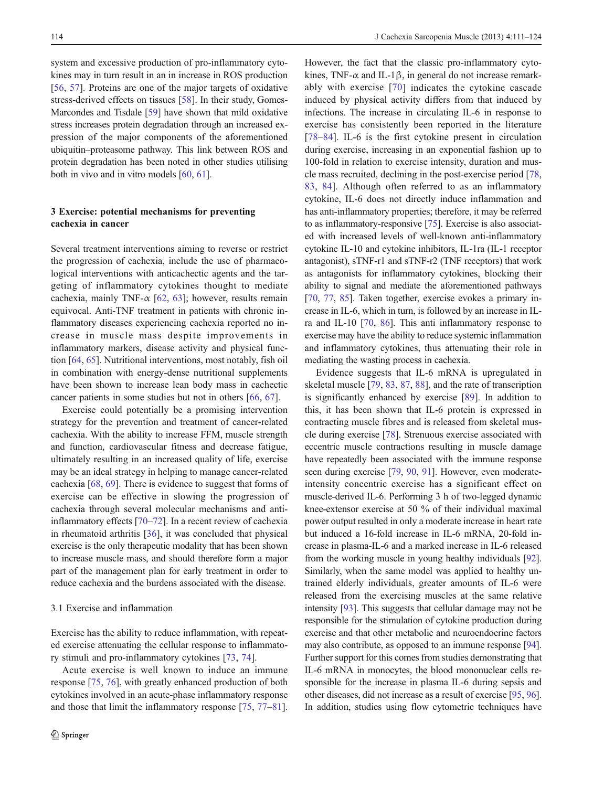system and excessive production of pro-inflammatory cytokines may in turn result in an in increase in ROS production [\[56](#page-9-0), [57](#page-9-0)]. Proteins are one of the major targets of oxidative stress-derived effects on tissues [[58\]](#page-9-0). In their study, Gomes-Marcondes and Tisdale [[59](#page-9-0)] have shown that mild oxidative stress increases protein degradation through an increased expression of the major components of the aforementioned ubiquitin–proteasome pathway. This link between ROS and protein degradation has been noted in other studies utilising both in vivo and in vitro models [[60](#page-9-0), [61](#page-9-0)].

# 3 Exercise: potential mechanisms for preventing cachexia in cancer

Several treatment interventions aiming to reverse or restrict the progression of cachexia, include the use of pharmacological interventions with anticachectic agents and the targeting of inflammatory cytokines thought to mediate cachexia, mainly TNF- $\alpha$  [[62,](#page-9-0) [63\]](#page-9-0); however, results remain equivocal. Anti-TNF treatment in patients with chronic inflammatory diseases experiencing cachexia reported no increase in muscle mass despite improvements in inflammatory markers, disease activity and physical function [[64,](#page-9-0) [65\]](#page-9-0). Nutritional interventions, most notably, fish oil in combination with energy-dense nutritional supplements have been shown to increase lean body mass in cachectic cancer patients in some studies but not in others [[66,](#page-9-0) [67](#page-9-0)].

Exercise could potentially be a promising intervention strategy for the prevention and treatment of cancer-related cachexia. With the ability to increase FFM, muscle strength and function, cardiovascular fitness and decrease fatigue, ultimately resulting in an increased quality of life, exercise may be an ideal strategy in helping to manage cancer-related cachexia [\[68](#page-9-0), [69](#page-9-0)]. There is evidence to suggest that forms of exercise can be effective in slowing the progression of cachexia through several molecular mechanisms and antiinflammatory effects [[70](#page-9-0)–[72](#page-9-0)]. In a recent review of cachexia in rheumatoid arthritis [\[36](#page-8-0)], it was concluded that physical exercise is the only therapeutic modality that has been shown to increase muscle mass, and should therefore form a major part of the management plan for early treatment in order to reduce cachexia and the burdens associated with the disease.

### 3.1 Exercise and inflammation

Exercise has the ability to reduce inflammation, with repeated exercise attenuating the cellular response to inflammatory stimuli and pro-inflammatory cytokines [\[73](#page-9-0), [74\]](#page-9-0).

Acute exercise is well known to induce an immune response [[75](#page-9-0), [76\]](#page-9-0), with greatly enhanced production of both cytokines involved in an acute-phase inflammatory response and those that limit the inflammatory response [\[75](#page-9-0), [77](#page-9-0)–[81](#page-9-0)].

However, the fact that the classic pro-inflammatory cytokines, TNF- $\alpha$  and IL-1 $\beta$ , in general do not increase remarkably with exercise [[70](#page-9-0)] indicates the cytokine cascade induced by physical activity differs from that induced by infections. The increase in circulating IL-6 in response to exercise has consistently been reported in the literature [\[78](#page-9-0)–[84\]](#page-9-0). IL-6 is the first cytokine present in circulation during exercise, increasing in an exponential fashion up to 100-fold in relation to exercise intensity, duration and muscle mass recruited, declining in the post-exercise period [[78,](#page-9-0) [83](#page-9-0), [84\]](#page-9-0). Although often referred to as an inflammatory cytokine, IL-6 does not directly induce inflammation and has anti-inflammatory properties; therefore, it may be referred to as inflammatory-responsive [[75](#page-9-0)]. Exercise is also associated with increased levels of well-known anti-inflammatory cytokine IL-10 and cytokine inhibitors, IL-1ra (IL-1 receptor antagonist), sTNF-r1 and sTNF-r2 (TNF receptors) that work as antagonists for inflammatory cytokines, blocking their ability to signal and mediate the aforementioned pathways [\[70](#page-9-0), [77](#page-9-0), [85\]](#page-9-0). Taken together, exercise evokes a primary increase in IL-6, which in turn, is followed by an increase in ILra and IL-10 [\[70](#page-9-0), [86\]](#page-10-0). This anti inflammatory response to exercise may have the ability to reduce systemic inflammation and inflammatory cytokines, thus attenuating their role in mediating the wasting process in cachexia.

Evidence suggests that IL-6 mRNA is upregulated in skeletal muscle [\[79](#page-9-0), [83](#page-9-0), [87](#page-10-0), [88](#page-10-0)], and the rate of transcription is significantly enhanced by exercise [[89\]](#page-10-0). In addition to this, it has been shown that IL-6 protein is expressed in contracting muscle fibres and is released from skeletal muscle during exercise [\[78](#page-9-0)]. Strenuous exercise associated with eccentric muscle contractions resulting in muscle damage have repeatedly been associated with the immune response seen during exercise [\[79,](#page-9-0) [90](#page-10-0), [91\]](#page-10-0). However, even moderateintensity concentric exercise has a significant effect on muscle-derived IL-6. Performing 3 h of two-legged dynamic knee-extensor exercise at 50 % of their individual maximal power output resulted in only a moderate increase in heart rate but induced a 16-fold increase in IL-6 mRNA, 20-fold increase in plasma-IL-6 and a marked increase in IL-6 released from the working muscle in young healthy individuals [[92\]](#page-10-0). Similarly, when the same model was applied to healthy untrained elderly individuals, greater amounts of IL-6 were released from the exercising muscles at the same relative intensity [\[93\]](#page-10-0). This suggests that cellular damage may not be responsible for the stimulation of cytokine production during exercise and that other metabolic and neuroendocrine factors may also contribute, as opposed to an immune response [[94\]](#page-10-0). Further support for this comes from studies demonstrating that IL-6 mRNA in monocytes, the blood mononuclear cells responsible for the increase in plasma IL-6 during sepsis and other diseases, did not increase as a result of exercise [\[95](#page-10-0), [96\]](#page-10-0). In addition, studies using flow cytometric techniques have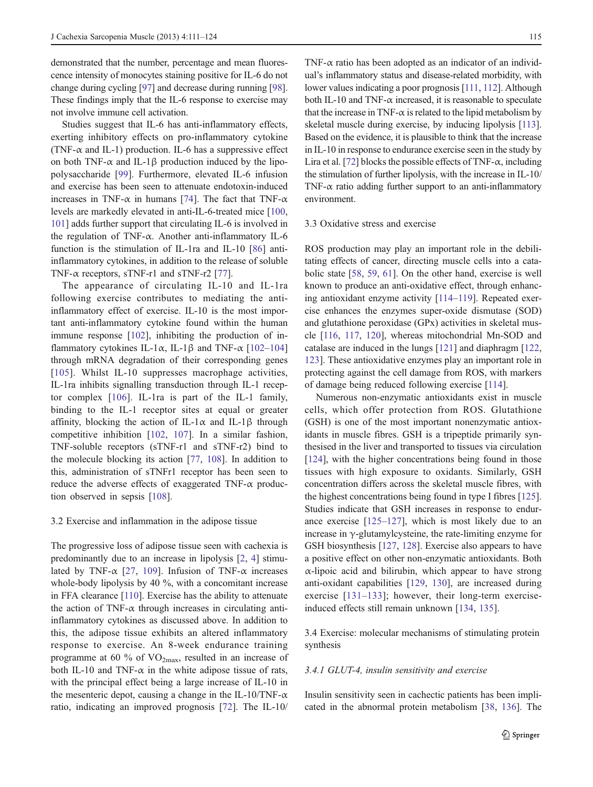demonstrated that the number, percentage and mean fluorescence intensity of monocytes staining positive for IL-6 do not change during cycling [[97\]](#page-10-0) and decrease during running [[98\]](#page-10-0). These findings imply that the IL-6 response to exercise may not involve immune cell activation.

Studies suggest that IL-6 has anti-inflammatory effects, exerting inhibitory effects on pro-inflammatory cytokine (TNF- $\alpha$  and IL-1) production. IL-6 has a suppressive effect on both TNF- $\alpha$  and IL-1 $\beta$  production induced by the lipopolysaccharide [[99\]](#page-10-0). Furthermore, elevated IL-6 infusion and exercise has been seen to attenuate endotoxin-induced increases in TNF- $\alpha$  in humans [[74\]](#page-9-0). The fact that TNF- $\alpha$ levels are markedly elevated in anti-IL-6-treated mice [[100,](#page-10-0) [101\]](#page-10-0) adds further support that circulating IL-6 is involved in the regulation of TNF-α. Another anti-inflammatory IL-6 function is the stimulation of IL-1ra and IL-10 [[86\]](#page-10-0) antiinflammatory cytokines, in addition to the release of soluble TNF- $\alpha$  receptors, sTNF-r1 and sTNF-r2 [[77\]](#page-9-0).

The appearance of circulating IL-10 and IL-1ra following exercise contributes to mediating the antiinflammatory effect of exercise. IL-10 is the most important anti-inflammatory cytokine found within the human immune response [\[102](#page-10-0)], inhibiting the production of inflammatory cytokines IL-1 $\alpha$ , IL-1 $\beta$  and TNF- $\alpha$  [[102](#page-10-0)–[104\]](#page-10-0) through mRNA degradation of their corresponding genes [\[105\]](#page-10-0). Whilst IL-10 suppresses macrophage activities, IL-1ra inhibits signalling transduction through IL-1 receptor complex [\[106\]](#page-10-0). IL-1ra is part of the IL-1 family, binding to the IL-1 receptor sites at equal or greater affinity, blocking the action of IL-1 $\alpha$  and IL-1 $\beta$  through competitive inhibition [\[102](#page-10-0), [107](#page-10-0)]. In a similar fashion, TNF-soluble receptors (sTNF-r1 and sTNF-r2) bind to the molecule blocking its action [\[77](#page-9-0), [108\]](#page-10-0). In addition to this, administration of sTNFr1 receptor has been seen to reduce the adverse effects of exaggerated TNF- $\alpha$  production observed in sepsis [[108\]](#page-10-0).

#### 3.2 Exercise and inflammation in the adipose tissue

The progressive loss of adipose tissue seen with cachexia is predominantly due to an increase in lipolysis [\[2](#page-7-0), [4](#page-7-0)] stimulated by TNF- $\alpha$  [\[27](#page-8-0), [109](#page-10-0)]. Infusion of TNF- $\alpha$  increases whole-body lipolysis by 40 %, with a concomitant increase in FFA clearance [[110](#page-10-0)]. Exercise has the ability to attenuate the action of TNF- $\alpha$  through increases in circulating antiinflammatory cytokines as discussed above. In addition to this, the adipose tissue exhibits an altered inflammatory response to exercise. An 8-week endurance training programme at 60 % of  $VO_{2max}$ , resulted in an increase of both IL-10 and TNF- $\alpha$  in the white adipose tissue of rats, with the principal effect being a large increase of IL-10 in the mesenteric depot, causing a change in the IL-10/TNF- $\alpha$ ratio, indicating an improved prognosis [[72\]](#page-9-0). The IL-10/

TNF- $\alpha$  ratio has been adopted as an indicator of an individual's inflammatory status and disease-related morbidity, with lower values indicating a poor prognosis [[111,](#page-10-0) [112\]](#page-10-0). Although both IL-10 and TNF- $\alpha$  increased, it is reasonable to speculate that the increase in TNF- $\alpha$  is related to the lipid metabolism by skeletal muscle during exercise, by inducing lipolysis [\[113\]](#page-10-0). Based on the evidence, it is plausible to think that the increase in IL-10 in response to endurance exercise seen in the study by Lira et al. [[72](#page-9-0)] blocks the possible effects of TNF- $\alpha$ , including the stimulation of further lipolysis, with the increase in IL-10/ TNF- $\alpha$  ratio adding further support to an anti-inflammatory environment.

#### 3.3 Oxidative stress and exercise

ROS production may play an important role in the debilitating effects of cancer, directing muscle cells into a catabolic state [\[58](#page-9-0), [59,](#page-9-0) [61\]](#page-9-0). On the other hand, exercise is well known to produce an anti-oxidative effect, through enhancing antioxidant enzyme activity [[114](#page-10-0)–[119\]](#page-10-0). Repeated exercise enhances the enzymes super-oxide dismutase (SOD) and glutathione peroxidase (GPx) activities in skeletal muscle [[116,](#page-10-0) [117](#page-10-0), [120\]](#page-10-0), whereas mitochondrial Mn-SOD and catalase are induced in the lungs [[121\]](#page-11-0) and diaphragm [[122,](#page-11-0) [123](#page-11-0)]. These antioxidative enzymes play an important role in protecting against the cell damage from ROS, with markers of damage being reduced following exercise [\[114](#page-10-0)].

Numerous non-enzymatic antioxidants exist in muscle cells, which offer protection from ROS. Glutathione (GSH) is one of the most important nonenzymatic antioxidants in muscle fibres. GSH is a tripeptide primarily synthesised in the liver and transported to tissues via circulation [\[124](#page-11-0)], with the higher concentrations being found in those tissues with high exposure to oxidants. Similarly, GSH concentration differs across the skeletal muscle fibres, with the highest concentrations being found in type I fibres [[125\]](#page-11-0). Studies indicate that GSH increases in response to endurance exercise [[125](#page-11-0)–[127\]](#page-11-0), which is most likely due to an increase in  $\gamma$ -glutamylcysteine, the rate-limiting enzyme for GSH biosynthesis [[127,](#page-11-0) [128\]](#page-11-0). Exercise also appears to have a positive effect on other non-enzymatic antioxidants. Both α-lipoic acid and bilirubin, which appear to have strong anti-oxidant capabilities [[129](#page-11-0), [130](#page-11-0)], are increased during exercise [[131](#page-11-0)–[133](#page-11-0)]; however, their long-term exerciseinduced effects still remain unknown [[134,](#page-11-0) [135](#page-11-0)].

3.4 Exercise: molecular mechanisms of stimulating protein synthesis

#### 3.4.1 GLUT-4, insulin sensitivity and exercise

Insulin sensitivity seen in cachectic patients has been implicated in the abnormal protein metabolism [\[38](#page-8-0), [136\]](#page-11-0). The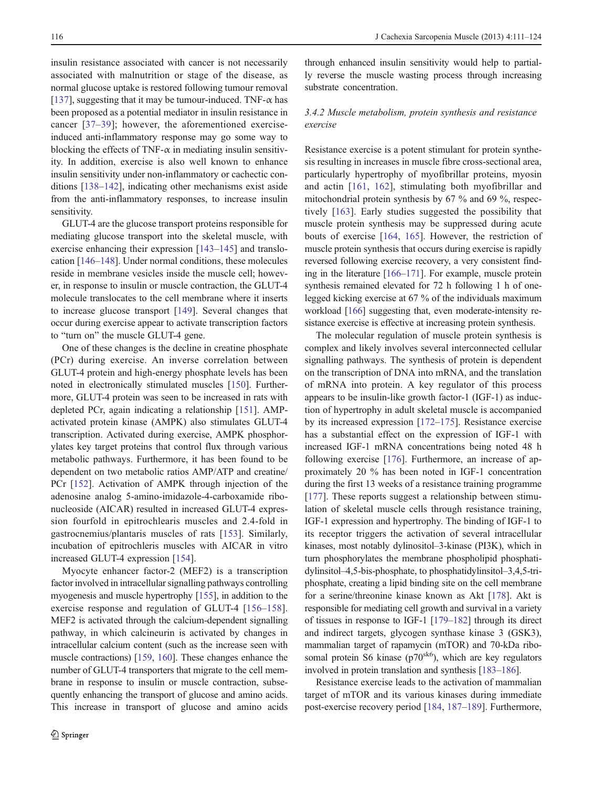insulin resistance associated with cancer is not necessarily associated with malnutrition or stage of the disease, as normal glucose uptake is restored following tumour removal [\[137](#page-11-0)], suggesting that it may be tumour-induced. TNF- $\alpha$  has been proposed as a potential mediator in insulin resistance in cancer [[37](#page-8-0)–[39\]](#page-8-0); however, the aforementioned exerciseinduced anti-inflammatory response may go some way to blocking the effects of TNF- $\alpha$  in mediating insulin sensitivity. In addition, exercise is also well known to enhance insulin sensitivity under non-inflammatory or cachectic conditions [\[138](#page-11-0)–[142](#page-11-0)], indicating other mechanisms exist aside from the anti-inflammatory responses, to increase insulin sensitivity.

GLUT-4 are the glucose transport proteins responsible for mediating glucose transport into the skeletal muscle, with exercise enhancing their expression [\[143](#page-11-0)–[145](#page-11-0)] and translocation [[146](#page-11-0)–[148\]](#page-11-0). Under normal conditions, these molecules reside in membrane vesicles inside the muscle cell; however, in response to insulin or muscle contraction, the GLUT-4 molecule translocates to the cell membrane where it inserts to increase glucose transport [\[149](#page-11-0)]. Several changes that occur during exercise appear to activate transcription factors to "turn on" the muscle GLUT-4 gene.

One of these changes is the decline in creatine phosphate (PCr) during exercise. An inverse correlation between GLUT-4 protein and high-energy phosphate levels has been noted in electronically stimulated muscles [[150\]](#page-11-0). Furthermore, GLUT-4 protein was seen to be increased in rats with depleted PCr, again indicating a relationship [[151\]](#page-11-0). AMPactivated protein kinase (AMPK) also stimulates GLUT-4 transcription. Activated during exercise, AMPK phosphorylates key target proteins that control flux through various metabolic pathways. Furthermore, it has been found to be dependent on two metabolic ratios AMP/ATP and creatine/ PCr [[152\]](#page-11-0). Activation of AMPK through injection of the adenosine analog 5-amino-imidazole-4-carboxamide ribonucleoside (AICAR) resulted in increased GLUT-4 expression fourfold in epitrochlearis muscles and 2.4-fold in gastrocnemius/plantaris muscles of rats [[153](#page-11-0)]. Similarly, incubation of epitrochleris muscles with AICAR in vitro increased GLUT-4 expression [[154\]](#page-11-0).

Myocyte enhancer factor-2 (MEF2) is a transcription factor involved in intracellular signalling pathways controlling myogenesis and muscle hypertrophy [[155](#page-11-0)], in addition to the exercise response and regulation of GLUT-4 [[156](#page-11-0)–[158](#page-11-0)]. MEF2 is activated through the calcium-dependent signalling pathway, in which calcineurin is activated by changes in intracellular calcium content (such as the increase seen with muscle contractions) [\[159,](#page-11-0) [160\]](#page-11-0). These changes enhance the number of GLUT-4 transporters that migrate to the cell membrane in response to insulin or muscle contraction, subsequently enhancing the transport of glucose and amino acids. This increase in transport of glucose and amino acids

through enhanced insulin sensitivity would help to partially reverse the muscle wasting process through increasing substrate concentration.

# 3.4.2 Muscle metabolism, protein synthesis and resistance exercise

Resistance exercise is a potent stimulant for protein synthesis resulting in increases in muscle fibre cross-sectional area, particularly hypertrophy of myofibrillar proteins, myosin and actin [\[161,](#page-12-0) [162\]](#page-12-0), stimulating both myofibrillar and mitochondrial protein synthesis by 67 % and 69 %, respectively [[163](#page-12-0)]. Early studies suggested the possibility that muscle protein synthesis may be suppressed during acute bouts of exercise [[164,](#page-12-0) [165\]](#page-12-0). However, the restriction of muscle protein synthesis that occurs during exercise is rapidly reversed following exercise recovery, a very consistent finding in the literature [\[166](#page-12-0)–[171](#page-12-0)]. For example, muscle protein synthesis remained elevated for 72 h following 1 h of onelegged kicking exercise at 67 % of the individuals maximum workload [\[166](#page-12-0)] suggesting that, even moderate-intensity resistance exercise is effective at increasing protein synthesis.

The molecular regulation of muscle protein synthesis is complex and likely involves several interconnected cellular signalling pathways. The synthesis of protein is dependent on the transcription of DNA into mRNA, and the translation of mRNA into protein. A key regulator of this process appears to be insulin-like growth factor-1 (IGF-1) as induction of hypertrophy in adult skeletal muscle is accompanied by its increased expression [\[172](#page-12-0)–[175](#page-12-0)]. Resistance exercise has a substantial effect on the expression of IGF-1 with increased IGF-1 mRNA concentrations being noted 48 h following exercise [\[176](#page-12-0)]. Furthermore, an increase of approximately 20 % has been noted in IGF-1 concentration during the first 13 weeks of a resistance training programme [\[177](#page-12-0)]. These reports suggest a relationship between stimulation of skeletal muscle cells through resistance training, IGF-1 expression and hypertrophy. The binding of IGF-1 to its receptor triggers the activation of several intracellular kinases, most notably dylinositol–3-kinase (PI3K), which in turn phosphorylates the membrane phospholipid phosphatidylinsitol–4,5-bis-phosphate, to phosphatidylinsitol–3,4,5-triphosphate, creating a lipid binding site on the cell membrane for a serine/threonine kinase known as Akt [[178\]](#page-12-0). Akt is responsible for mediating cell growth and survival in a variety of tissues in response to IGF-1 [[179](#page-12-0)–[182\]](#page-12-0) through its direct and indirect targets, glycogen synthase kinase 3 (GSK3), mammalian target of rapamycin (mTOR) and 70-kDa ribosomal protein S6 kinase ( $p70<sup>sk6</sup>$ ), which are key regulators involved in protein translation and synthesis [\[183](#page-12-0)–[186](#page-12-0)].

Resistance exercise leads to the activation of mammalian target of mTOR and its various kinases during immediate post-exercise recovery period [\[184](#page-12-0), [187](#page-12-0)–[189](#page-12-0)]. Furthermore,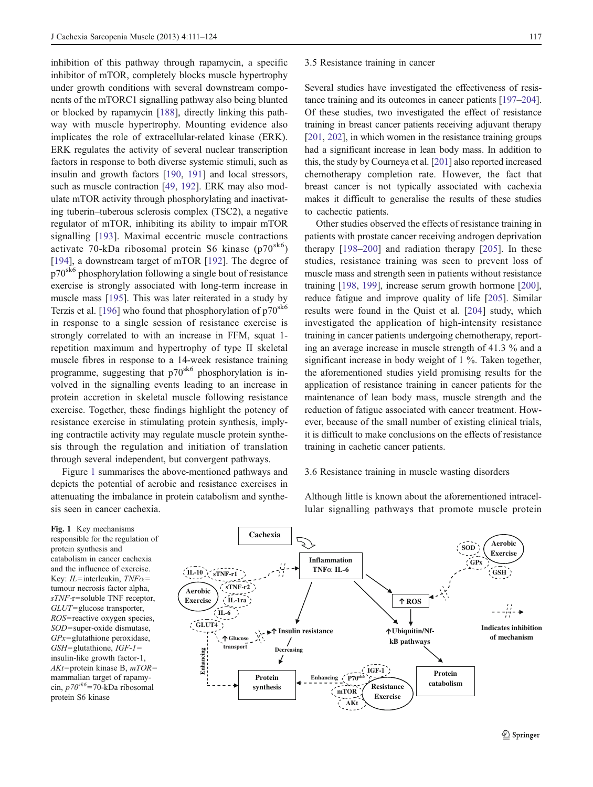inhibition of this pathway through rapamycin, a specific inhibitor of mTOR, completely blocks muscle hypertrophy under growth conditions with several downstream components of the mTORC1 signalling pathway also being blunted or blocked by rapamycin [[188\]](#page-12-0), directly linking this pathway with muscle hypertrophy. Mounting evidence also implicates the role of extracellular-related kinase (ERK). ERK regulates the activity of several nuclear transcription factors in response to both diverse systemic stimuli, such as insulin and growth factors [[190,](#page-12-0) [191\]](#page-12-0) and local stressors, such as muscle contraction [[49,](#page-9-0) [192\]](#page-12-0). ERK may also modulate mTOR activity through phosphorylating and inactivating tuberin–tuberous sclerosis complex (TSC2), a negative regulator of mTOR, inhibiting its ability to impair mTOR signalling [[193](#page-12-0)]. Maximal eccentric muscle contractions activate 70-kDa ribosomal protein S6 kinase  $(p70^{sk6})$ [\[194](#page-12-0)], a downstream target of mTOR [[192\]](#page-12-0). The degree of p70sk6 phosphorylation following a single bout of resistance exercise is strongly associated with long-term increase in muscle mass [\[195](#page-13-0)]. This was later reiterated in a study by Terzis et al. [\[196](#page-13-0)] who found that phosphorylation of  $p70<sup>sk6</sup>$ in response to a single session of resistance exercise is strongly correlated to with an increase in FFM, squat 1 repetition maximum and hypertrophy of type II skeletal muscle fibres in response to a 14-week resistance training programme, suggesting that p70<sup>sk6</sup> phosphorylation is involved in the signalling events leading to an increase in protein accretion in skeletal muscle following resistance exercise. Together, these findings highlight the potency of resistance exercise in stimulating protein synthesis, implying contractile activity may regulate muscle protein synthesis through the regulation and initiation of translation through several independent, but convergent pathways.

Figure 1 summarises the above-mentioned pathways and depicts the potential of aerobic and resistance exercises in attenuating the imbalance in protein catabolism and synthesis seen in cancer cachexia.

#### 3.5 Resistance training in cancer

Several studies have investigated the effectiveness of resistance training and its outcomes in cancer patients [\[197](#page-13-0)–[204\]](#page-13-0). Of these studies, two investigated the effect of resistance training in breast cancer patients receiving adjuvant therapy [\[201,](#page-13-0) [202\]](#page-13-0), in which women in the resistance training groups had a significant increase in lean body mass. In addition to this, the study by Courneya et al. [\[201\]](#page-13-0) also reported increased chemotherapy completion rate. However, the fact that breast cancer is not typically associated with cachexia makes it difficult to generalise the results of these studies to cachectic patients.

Other studies observed the effects of resistance training in patients with prostate cancer receiving androgen deprivation therapy [\[198](#page-13-0)–[200\]](#page-13-0) and radiation therapy [\[205](#page-13-0)]. In these studies, resistance training was seen to prevent loss of muscle mass and strength seen in patients without resistance training [\[198](#page-13-0), [199\]](#page-13-0), increase serum growth hormone [[200\]](#page-13-0), reduce fatigue and improve quality of life [\[205](#page-13-0)]. Similar results were found in the Quist et al. [[204\]](#page-13-0) study, which investigated the application of high-intensity resistance training in cancer patients undergoing chemotherapy, reporting an average increase in muscle strength of 41.3 % and a significant increase in body weight of 1 %. Taken together, the aforementioned studies yield promising results for the application of resistance training in cancer patients for the maintenance of lean body mass, muscle strength and the reduction of fatigue associated with cancer treatment. However, because of the small number of existing clinical trials, it is difficult to make conclusions on the effects of resistance training in cachetic cancer patients.

## 3.6 Resistance training in muscle wasting disorders

Although little is known about the aforementioned intracellular signalling pathways that promote muscle protein

Fig. 1 Key mechanisms responsible for the regulation of protein synthesis and catabolism in cancer cachexia and the influence of exercise. Key:  $IL$ =interleukin,  $TNF\alpha=$ tumour necrosis factor alpha,  $sTNF$ -r=soluble TNF receptor,  $GLUT =$ glucose transporter, ROS=reactive oxygen species, SOD=super-oxide dismutase,  $GPx =$ glutathione peroxidase,  $GSH =$ glutathione,  $IGF-I =$ insulin-like growth factor-1,  $AKt$ = protein kinase B,  $mTOR=$ mammalian target of rapamycin,  $p70^{sk6}$ =70-kDa ribosomal protein S6 kinase

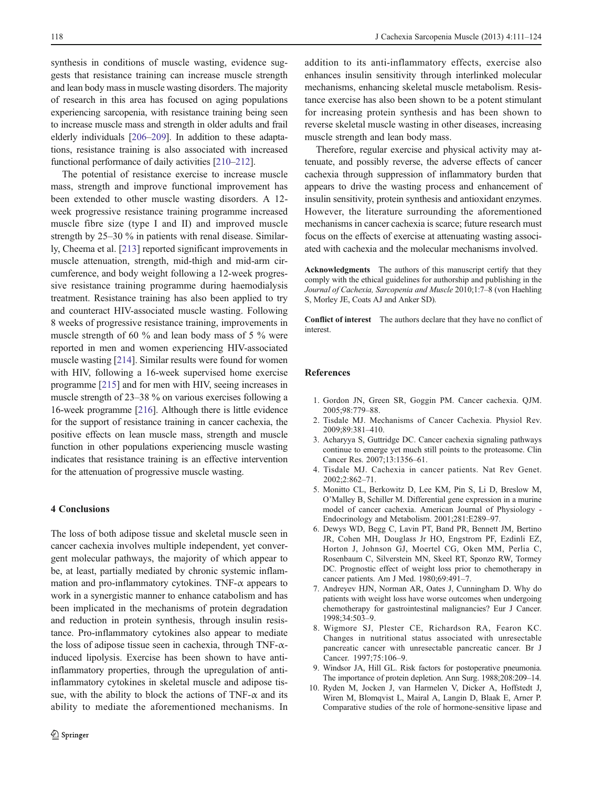<span id="page-7-0"></span>synthesis in conditions of muscle wasting, evidence suggests that resistance training can increase muscle strength and lean body mass in muscle wasting disorders. The majority of research in this area has focused on aging populations experiencing sarcopenia, with resistance training being seen to increase muscle mass and strength in older adults and frail elderly individuals [\[206](#page-13-0)–[209\]](#page-13-0). In addition to these adaptations, resistance training is also associated with increased functional performance of daily activities [\[210](#page-13-0)–[212](#page-13-0)].

The potential of resistance exercise to increase muscle mass, strength and improve functional improvement has been extended to other muscle wasting disorders. A 12 week progressive resistance training programme increased muscle fibre size (type I and II) and improved muscle strength by 25–30 % in patients with renal disease. Similarly, Cheema et al. [[213\]](#page-13-0) reported significant improvements in muscle attenuation, strength, mid-thigh and mid-arm circumference, and body weight following a 12-week progressive resistance training programme during haemodialysis treatment. Resistance training has also been applied to try and counteract HIV-associated muscle wasting. Following 8 weeks of progressive resistance training, improvements in muscle strength of 60 % and lean body mass of 5 % were reported in men and women experiencing HIV-associated muscle wasting [\[214](#page-13-0)]. Similar results were found for women with HIV, following a 16-week supervised home exercise programme [\[215](#page-13-0)] and for men with HIV, seeing increases in muscle strength of 23–38 % on various exercises following a 16-week programme [[216](#page-13-0)]. Although there is little evidence for the support of resistance training in cancer cachexia, the positive effects on lean muscle mass, strength and muscle function in other populations experiencing muscle wasting indicates that resistance training is an effective intervention for the attenuation of progressive muscle wasting.

### 4 Conclusions

The loss of both adipose tissue and skeletal muscle seen in cancer cachexia involves multiple independent, yet convergent molecular pathways, the majority of which appear to be, at least, partially mediated by chronic systemic inflammation and pro-inflammatory cytokines. TNF- $\alpha$  appears to work in a synergistic manner to enhance catabolism and has been implicated in the mechanisms of protein degradation and reduction in protein synthesis, through insulin resistance. Pro-inflammatory cytokines also appear to mediate the loss of adipose tissue seen in cachexia, through TNF- $\alpha$ induced lipolysis. Exercise has been shown to have antiinflammatory properties, through the upregulation of antiinflammatory cytokines in skeletal muscle and adipose tissue, with the ability to block the actions of TNF- $\alpha$  and its ability to mediate the aforementioned mechanisms. In

addition to its anti-inflammatory effects, exercise also enhances insulin sensitivity through interlinked molecular mechanisms, enhancing skeletal muscle metabolism. Resistance exercise has also been shown to be a potent stimulant for increasing protein synthesis and has been shown to reverse skeletal muscle wasting in other diseases, increasing muscle strength and lean body mass.

Therefore, regular exercise and physical activity may attenuate, and possibly reverse, the adverse effects of cancer cachexia through suppression of inflammatory burden that appears to drive the wasting process and enhancement of insulin sensitivity, protein synthesis and antioxidant enzymes. However, the literature surrounding the aforementioned mechanisms in cancer cachexia is scarce; future research must focus on the effects of exercise at attenuating wasting associated with cachexia and the molecular mechanisms involved.

Acknowledgments The authors of this manuscript certify that they comply with the ethical guidelines for authorship and publishing in the Journal of Cachexia, Sarcopenia and Muscle 2010;1:7–8 (von Haehling S, Morley JE, Coats AJ and Anker SD).

Conflict of interest The authors declare that they have no conflict of interest.

## References

- 1. Gordon JN, Green SR, Goggin PM. Cancer cachexia. QJM. 2005;98:779–88.
- 2. Tisdale MJ. Mechanisms of Cancer Cachexia. Physiol Rev. 2009;89:381–410.
- 3. Acharyya S, Guttridge DC. Cancer cachexia signaling pathways continue to emerge yet much still points to the proteasome. Clin Cancer Res. 2007;13:1356–61.
- 4. Tisdale MJ. Cachexia in cancer patients. Nat Rev Genet. 2002;2:862–71.
- 5. Monitto CL, Berkowitz D, Lee KM, Pin S, Li D, Breslow M, O'Malley B, Schiller M. Differential gene expression in a murine model of cancer cachexia. American Journal of Physiology - Endocrinology and Metabolism. 2001;281:E289–97.
- 6. Dewys WD, Begg C, Lavin PT, Band PR, Bennett JM, Bertino JR, Cohen MH, Douglass Jr HO, Engstrom PF, Ezdinli EZ, Horton J, Johnson GJ, Moertel CG, Oken MM, Perlia C, Rosenbaum C, Silverstein MN, Skeel RT, Sponzo RW, Tormey DC. Prognostic effect of weight loss prior to chemotherapy in cancer patients. Am J Med. 1980;69:491–7.
- 7. Andreyev HJN, Norman AR, Oates J, Cunningham D. Why do patients with weight loss have worse outcomes when undergoing chemotherapy for gastrointestinal malignancies? Eur J Cancer. 1998;34:503–9.
- 8. Wigmore SJ, Plester CE, Richardson RA, Fearon KC. Changes in nutritional status associated with unresectable pancreatic cancer with unresectable pancreatic cancer. Br J Cancer. 1997;75:106–9.
- 9. Windsor JA, Hill GL. Risk factors for postoperative pneumonia. The importance of protein depletion. Ann Surg. 1988;208:209–14.
- 10. Ryden M, Jocken J, van Harmelen V, Dicker A, Hoffstedt J, Wiren M, Blomqvist L, Mairal A, Langin D, Blaak E, Arner P. Comparative studies of the role of hormone-sensitive lipase and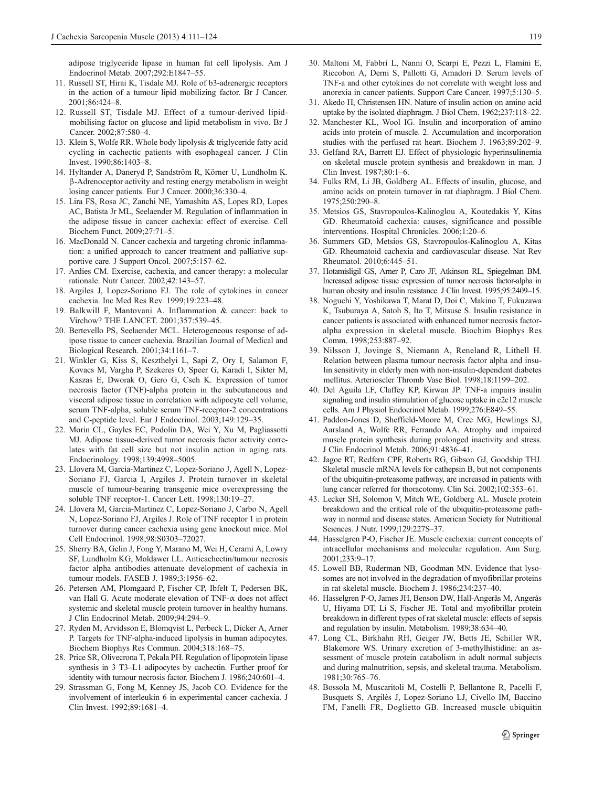<span id="page-8-0"></span>adipose triglyceride lipase in human fat cell lipolysis. Am J Endocrinol Metab. 2007;292:E1847–55.

- 11. Russell ST, Hirai K, Tisdale MJ. Role of b3-adrenergic receptors in the action of a tumour lipid mobilizing factor. Br J Cancer. 2001;86:424–8.
- 12. Russell ST, Tisdale MJ. Effect of a tumour-derived lipidmobilising factor on glucose and lipid metabolism in vivo. Br J Cancer. 2002;87:580–4.
- 13. Klein S, Wolfe RR. Whole body lipolysis & triglyceride fatty acid cycling in cachectic patients with esophageal cancer. J Clin Invest. 1990;86:1403–8.
- 14. Hyltander A, Daneryd P, Sandström R, Körner U, Lundholm K. β-Adrenoceptor activity and resting energy metabolism in weight losing cancer patients. Eur J Cancer. 2000;36:330–4.
- 15. Lira FS, Rosa JC, Zanchi NE, Yamashita AS, Lopes RD, Lopes AC, Batista Jr ML, Seelaender M. Regulation of inflammation in the adipose tissue in cancer cachexia: effect of exercise. Cell Biochem Funct. 2009;27:71–5.
- 16. MacDonald N. Cancer cachexia and targeting chronic inflammation: a unified approach to cancer treatment and palliative supportive care. J Support Oncol. 2007;5:157–62.
- 17. Ardies CM. Exercise, cachexia, and cancer therapy: a molecular rationale. Nutr Cancer. 2002;42:143–57.
- 18. Argiles J, Lopez-Soriano FJ. The role of cytokines in cancer cachexia. Inc Med Res Rev. 1999;19:223–48.
- 19. Balkwill F, Mantovani A. Inflammation & cancer: back to Virchow? THE LANCET. 2001;357:539–45.
- 20. Bertevello PS, Seelaender MCL. Heterogeneous response of adipose tissue to cancer cachexia. Brazilian Journal of Medical and Biological Research. 2001;34:1161–7.
- 21. Winkler G, Kiss S, Keszthelyi L, Sapi Z, Ory I, Salamon F, Kovacs M, Vargha P, Szekeres O, Speer G, Karadi I, Sikter M, Kaszas E, Dworak O, Gero G, Cseh K. Expression of tumor necrosis factor (TNF)-alpha protein in the subcutaneous and visceral adipose tissue in correlation with adipocyte cell volume, serum TNF-alpha, soluble serum TNF-receptor-2 concentrations and C-peptide level. Eur J Endocrinol. 2003;149:129–35.
- 22. Morin CL, Gayles EC, Podolin DA, Wei Y, Xu M, Pagliassotti MJ. Adipose tissue-derived tumor necrosis factor activity correlates with fat cell size but not insulin action in aging rats. Endocrinology. 1998;139:4998–5005.
- 23. Llovera M, Garcia-Martinez C, Lopez-Soriano J, Agell N, Lopez-Soriano FJ, Garcia I, Argiles J. Protein turnover in skeletal muscle of tumour-bearing transgenic mice overexpressing the soluble TNF receptor-1. Cancer Lett. 1998;130:19–27.
- 24. Llovera M, Garcia-Martinez C, Lopez-Soriano J, Carbo N, Agell N, Lopez-Soriano FJ, Argiles J. Role of TNF receptor 1 in protein turnover during cancer cachexia using gene knockout mice. Mol Cell Endocrinol. 1998;98:S0303–72027.
- 25. Sherry BA, Gelin J, Fong Y, Marano M, Wei H, Cerami A, Lowry SF, Lundholm KG, Moldawer LL. Anticachectin/tumour necrosis factor alpha antibodies attenuate development of cachexia in tumour models. FASEB J. 1989;3:1956–62.
- 26. Petersen AM, Plomgaard P, Fischer CP, Ibfelt T, Pedersen BK, van Hall G. Acute moderate elevation of TNF-α does not affect systemic and skeletal muscle protein turnover in healthy humans. J Clin Endocrinol Metab. 2009;94:294–9.
- 27. Ryden M, Arvidsson E, Blomqvist L, Perbeck L, Dicker A, Arner P. Targets for TNF-alpha-induced lipolysis in human adipocytes. Biochem Biophys Res Commun. 2004;318:168–75.
- 28. Price SR, Olivecrona T, Pekala PH. Regulation of lipoprotein lipase synthesis in 3 T3–L1 adipocytes by cachectin. Further proof for identity with tumour necrosis factor. Biochem J. 1986;240:601–4.
- 29. Strassman G, Fong M, Kenney JS, Jacob CO. Evidence for the involvement of interleukin 6 in experimental cancer cachexia. J Clin Invest. 1992;89:1681–4.
- 30. Maltoni M, Fabbri L, Nanni O, Scarpi E, Pezzi L, Flamini E, Riccobon A, Derni S, Pallotti G, Amadori D. Serum levels of TNF-a and other cytokines do not correlate with weight loss and anorexia in cancer patients. Support Care Cancer. 1997;5:130–5.
- 31. Akedo H, Christensen HN. Nature of insulin action on amino acid uptake by the isolated diaphragm. J Biol Chem. 1962;237:118–22.
- 32. Manchester KL, Wool IG. Insulin and incorporation of amino acids into protein of muscle. 2. Accumulation and incorporation studies with the perfused rat heart. Biochem J. 1963;89:202–9.
- 33. Gelfand RA, Barrett EJ. Effect of physiologic hyperinsulinemia on skeletal muscle protein synthesis and breakdown in man. J Clin Invest. 1987;80:1–6.
- 34. Fulks RM, Li JB, Goldberg AL. Effects of insulin, glucose, and amino acids on protein turnover in rat diaphragm. J Biol Chem. 1975;250:290–8.
- 35. Metsios GS, Stavropoulos-Kalinoglou A, Koutedakis Y, Kitas GD. Rheumatoid cachexia: causes, significance and possible interventions. Hospital Chronicles. 2006;1:20–6.
- 36. Summers GD, Metsios GS, Stavropoulos-Kalinoglou A, Kitas GD. Rheumatoid cachexia and cardiovascular disease. Nat Rev Rheumatol. 2010;6:445–51.
- 37. Hotamisligil GS, Arner P, Caro JF, Atkinson RL, Spiegelman BM. Increased adipose tissue expression of tumor necrosis factor-alpha in human obesity and insulin resistance. J Clin Invest. 1995;95:2409–15.
- 38. Noguchi Y, Yoshikawa T, Marat D, Doi C, Makino T, Fukuzawa K, Tsuburaya A, Satoh S, Ito T, Mitsuse S. Insulin resistance in cancer patients is associated with enhanced tumor necrosis factoralpha expression in skeletal muscle. Biochim Biophys Res Comm. 1998;253:887–92.
- 39. Nilsson J, Jovinge S, Niemann A, Reneland R, Lithell H. Relation between plasma tumour necrosis factor alpha and insulin sensitivity in elderly men with non-insulin-dependent diabetes mellitus. Arterioscler Thromb Vasc Biol. 1998;18:1199–202.
- 40. Del Aguila LF, Claffey KP, Kirwan JP. TNF-a impairs insulin signaling and insulin stimulation of glucose uptake in c2c12 muscle cells. Am J Physiol Endocrinol Metab. 1999;276:E849–55.
- 41. Paddon-Jones D, Sheffield-Moore M, Cree MG, Hewlings SJ, Aarsland A, Wolfe RR, Ferrando AA. Atrophy and impaired muscle protein synthesis during prolonged inactivity and stress. J Clin Endocrinol Metab. 2006;91:4836–41.
- 42. Jagoe RT, Redfern CPF, Roberts RG, Gibson GJ, Goodship THJ. Skeletal muscle mRNA levels for cathepsin B, but not components of the ubiquitin-proteasome pathway, are increased in patients with lung cancer referred for thoracotomy. Clin Sci. 2002;102:353–61.
- 43. Lecker SH, Solomon V, Mitch WE, Goldberg AL. Muscle protein breakdown and the critical role of the ubiquitin-proteasome pathway in normal and disease states. American Society for Nutritional Sciences. J Nutr. 1999;129:227S–37.
- 44. Hasselgren P-O, Fischer JE. Muscle cachexia: current concepts of intracellular mechanisms and molecular regulation. Ann Surg. 2001;233:9–17.
- 45. Lowell BB, Ruderman NB, Goodman MN. Evidence that lysosomes are not involved in the degradation of myofibrillar proteins in rat skeletal muscle. Biochem J. 1986;234:237–40.
- 46. Hasselgren P-O, James JH, Benson DW, Hall-Angerås M, Angerås U, Hiyama DT, Li S, Fischer JE. Total and myofibrillar protein breakdown in different types of rat skeletal muscle: effects of sepsis and regulation by insulin. Metabolism. 1989;38:634–40.
- 47. Long CL, Birkhahn RH, Geiger JW, Betts JE, Schiller WR, Blakemore WS. Urinary excretion of 3-methylhistidine: an assessment of muscle protein catabolism in adult normal subjects and during malnutrition, sepsis, and skeletal trauma. Metabolism. 1981;30:765–76.
- 48. Bossola M, Muscaritoli M, Costelli P, Bellantone R, Pacelli F, Busquets S, Argilès J, Lopez-Soriano LJ, Civello IM, Baccino FM, Fanelli FR, Doglietto GB. Increased muscle ubiquitin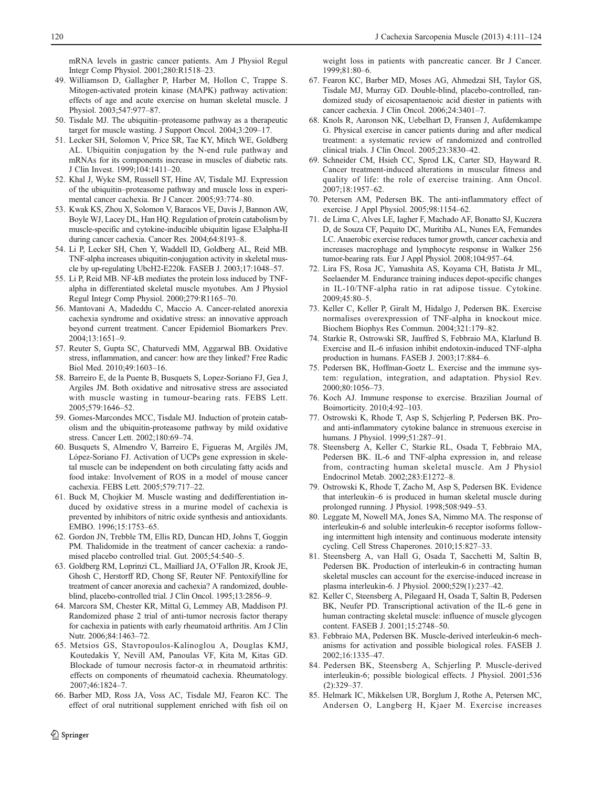<span id="page-9-0"></span>mRNA levels in gastric cancer patients. Am J Physiol Regul Integr Comp Physiol. 2001;280:R1518–23.

- 49. Williamson D, Gallagher P, Harber M, Hollon C, Trappe S. Mitogen-activated protein kinase (MAPK) pathway activation: effects of age and acute exercise on human skeletal muscle. J Physiol. 2003;547:977–87.
- 50. Tisdale MJ. The ubiquitin–proteasome pathway as a therapeutic target for muscle wasting. J Support Oncol. 2004;3:209–17.
- 51. Lecker SH, Solomon V, Price SR, Tae KY, Mitch WE, Goldberg AL. Ubiquitin conjugation by the N-end rule pathway and mRNAs for its components increase in muscles of diabetic rats. J Clin Invest. 1999;104:1411–20.
- 52. Khal J, Wyke SM, Russell ST, Hine AV, Tisdale MJ. Expression of the ubiquitin–proteasome pathway and muscle loss in experimental cancer cachexia. Br J Cancer. 2005;93:774–80.
- 53. Kwak KS, Zhou X, Solomon V, Baracos VE, Davis J, Bannon AW, Boyle WJ, Lacey DL, Han HQ. Regulation of protein catabolism by muscle-specific and cytokine-inducible ubiquitin ligase E3alpha-II during cancer cachexia. Cancer Res. 2004;64:8193–8.
- 54. Li P, Lecker SH, Chen Y, Waddell ID, Goldberg AL, Reid MB. TNF-alpha increases ubiquitin-conjugation activity in skeletal muscle by up-regulating UbcH2-E220k. FASEB J. 2003;17:1048–57.
- 55. Li P, Reid MB. NF-kB mediates the protein loss induced by TNFalpha in differentiated skeletal muscle myotubes. Am J Physiol Regul Integr Comp Physiol. 2000;279:R1165–70.
- 56. Mantovani A, Madeddu C, Maccio A. Cancer-related anorexia cachexia syndrome and oxidative stress: an innovative approach beyond current treatment. Cancer Epidemiol Biomarkers Prev. 2004;13:1651–9.
- 57. Reuter S, Gupta SC, Chaturvedi MM, Aggarwal BB. Oxidative stress, inflammation, and cancer: how are they linked? Free Radic Biol Med. 2010;49:1603–16.
- 58. Barreiro E, de la Puente B, Busquets S, Lopez-Soriano FJ, Gea J, Argiles JM. Both oxidative and nitrosative stress are associated with muscle wasting in tumour-bearing rats. FEBS Lett. 2005;579:1646–52.
- 59. Gomes-Marcondes MCC, Tisdale MJ. Induction of protein catabolism and the ubiquitin-proteasome pathway by mild oxidative stress. Cancer Lett. 2002;180:69–74.
- 60. Busquets S, Almendro V, Barreiro E, Figueras M, Argilés JM, López-Soriano FJ. Activation of UCPs gene expression in skeletal muscle can be independent on both circulating fatty acids and food intake: Involvement of ROS in a model of mouse cancer cachexia. FEBS Lett. 2005;579:717–22.
- 61. Buck M, Chojkier M. Muscle wasting and dedifferentiation induced by oxidative stress in a murine model of cachexia is prevented by inhibitors of nitric oxide synthesis and antioxidants. EMBO. 1996;15:1753–65.
- 62. Gordon JN, Trebble TM, Ellis RD, Duncan HD, Johns T, Goggin PM. Thalidomide in the treatment of cancer cachexia: a randomised placebo controlled trial. Gut. 2005;54:540–5.
- 63. Goldberg RM, Loprinzi CL, Mailliard JA, O'Fallon JR, Krook JE, Ghosh C, Herstorff RD, Chong SF, Reuter NF. Pentoxifylline for treatment of cancer anorexia and cachexia? A randomized, doubleblind, placebo-controlled trial. J Clin Oncol. 1995;13:2856–9.
- 64. Marcora SM, Chester KR, Mittal G, Lemmey AB, Maddison PJ. Randomized phase 2 trial of anti-tumor necrosis factor therapy for cachexia in patients with early rheumatoid arthritis. Am J Clin Nutr. 2006;84:1463–72.
- 65. Metsios GS, Stavropoulos-Kalinoglou A, Douglas KMJ, Koutedakis Y, Nevill AM, Panoulas VF, Kita M, Kitas GD. Blockade of tumour necrosis factor- $\alpha$  in rheumatoid arthritis: effects on components of rheumatoid cachexia. Rheumatology. 2007;46:1824–7.
- 66. Barber MD, Ross JA, Voss AC, Tisdale MJ, Fearon KC. The effect of oral nutritional supplement enriched with fish oil on

weight loss in patients with pancreatic cancer. Br J Cancer. 1999;81:80–6.

- 67. Fearon KC, Barber MD, Moses AG, Ahmedzai SH, Taylor GS, Tisdale MJ, Murray GD. Double-blind, placebo-controlled, randomized study of eicosapentaenoic acid diester in patients with cancer cachexia. J Clin Oncol. 2006;24:3401–7.
- 68. Knols R, Aaronson NK, Uebelhart D, Fransen J, Aufdemkampe G. Physical exercise in cancer patients during and after medical treatment: a systematic review of randomized and controlled clinical trials. J Clin Oncol. 2005;23:3830–42.
- 69. Schneider CM, Hsieh CC, Sprod LK, Carter SD, Hayward R. Cancer treatment-induced alterations in muscular fitness and quality of life: the role of exercise training. Ann Oncol. 2007;18:1957–62.
- 70. Petersen AM, Pedersen BK. The anti-inflammatory effect of exercise. J Appl Physiol. 2005;98:1154–62.
- 71. de Lima C, Alves LE, Iagher F, Machado AF, Bonatto SJ, Kuczera D, de Souza CF, Pequito DC, Muritiba AL, Nunes EA, Fernandes LC. Anaerobic exercise reduces tumor growth, cancer cachexia and increases macrophage and lymphocyte response in Walker 256 tumor-bearing rats. Eur J Appl Physiol. 2008;104:957–64.
- 72. Lira FS, Rosa JC, Yamashita AS, Koyama CH, Batista Jr ML, Seelaender M. Endurance training induces depot-specific changes in IL-10/TNF-alpha ratio in rat adipose tissue. Cytokine. 2009;45:80–5.
- 73. Keller C, Keller P, Giralt M, Hidalgo J, Pedersen BK. Exercise normalises overexpression of TNF-alpha in knockout mice. Biochem Biophys Res Commun. 2004;321:179–82.
- 74. Starkie R, Ostrowski SR, Jauffred S, Febbraio MA, Klarlund B. Exercise and IL-6 infusion inhibit endotoxin-induced TNF-alpha production in humans. FASEB J. 2003;17:884–6.
- 75. Pedersen BK, Hoffman-Goetz L. Exercise and the immune system: regulation, integration, and adaptation. Physiol Rev. 2000;80:1056–73.
- 76. Koch AJ. Immune response to exercise. Brazilian Journal of Boimorticity. 2010;4:92–103.
- 77. Ostrowski K, Rhode T, Asp S, Schjerling P, Pedersen BK. Proand anti-inflammatory cytokine balance in strenuous exercise in humans. J Physiol. 1999;51:287–91.
- 78. Steensberg A, Keller C, Starkie RL, Osada T, Febbraio MA, Pedersen BK. IL-6 and TNF-alpha expression in, and release from, contracting human skeletal muscle. Am J Physiol Endocrinol Metab. 2002;283:E1272–8.
- 79. Ostrowski K, Rhode T, Zacho M, Asp S, Pedersen BK. Evidence that interleukin–6 is produced in human skeletal muscle during prolonged running. J Physiol. 1998;508:949–53.
- 80. Leggate M, Nowell MA, Jones SA, Nimmo MA. The response of interleukin-6 and soluble interleukin-6 receptor isoforms following intermittent high intensity and continuous moderate intensity cycling. Cell Stress Chaperones. 2010;15:827–33.
- 81. Steensberg A, van Hall G, Osada T, Sacchetti M, Saltin B, Pedersen BK. Production of interleukin-6 in contracting human skeletal muscles can account for the exercise-induced increase in plasma interleukin-6. J Physiol. 2000;529(1):237–42.
- 82. Keller C, Steensberg A, Pilegaard H, Osada T, Saltin B, Pedersen BK, Neufer PD. Transcriptional activation of the IL-6 gene in human contracting skeletal muscle: influence of muscle glycogen content. FASEB J. 2001;15:2748–50.
- 83. Febbraio MA, Pedersen BK. Muscle-derived interleukin-6 mechanisms for activation and possible biological roles. FASEB J. 2002;16:1335–47.
- 84. Pedersen BK, Steensberg A, Schjerling P. Muscle-derived interleukin-6; possible biological effects. J Physiol. 2001;536 (2):329–37.
- 85. Helmark IC, Mikkelsen UR, Borglum J, Rothe A, Petersen MC, Andersen O, Langberg H, Kjaer M. Exercise increases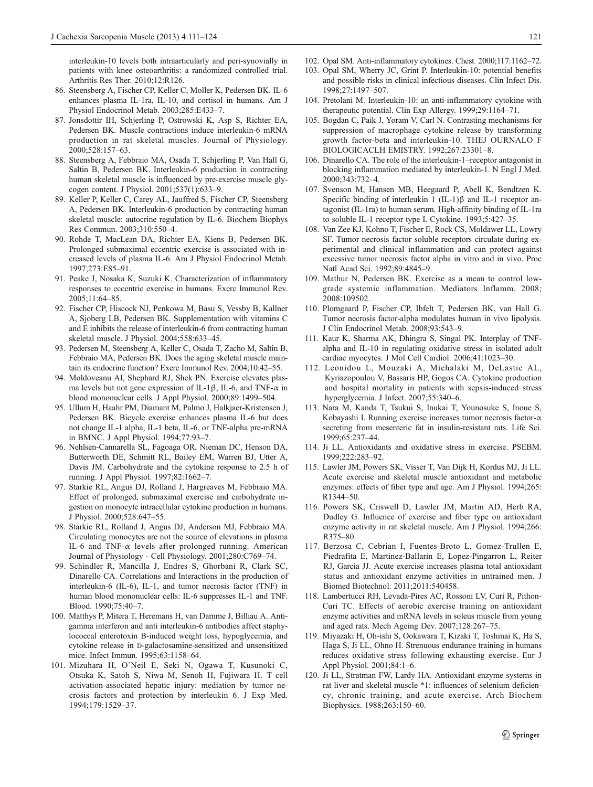<span id="page-10-0"></span>interleukin-10 levels both intraarticularly and peri-synovially in patients with knee osteoarthritis: a randomized controlled trial. Arthritis Res Ther. 2010;12:R126.

- 86. Steensberg A, Fischer CP, Keller C, Moller K, Pedersen BK. IL-6 enhances plasma IL-1ra, IL-10, and cortisol in humans. Am J Physiol Endocrinol Metab. 2003;285:E433–7.
- 87. Jonsdottir IH, Schjerling P, Ostrowski K, Asp S, Richter EA, Pedersen BK. Muscle contractions induce interleukin-6 mRNA production in rat skeletal muscles. Journal of Physiology. 2000;528:157–63.
- 88. Steensberg A, Febbraio MA, Osada T, Schjerling P, Van Hall G, Saltin B, Pedersen BK. Interleukin-6 production in contracting human skeletal muscle is influenced by pre-exercise muscle glycogen content. J Physiol. 2001;537(1):633–9.
- 89. Keller P, Keller C, Carey AL, Jauffred S, Fischer CP, Steensberg A, Pedersen BK. Interleukin-6 production by contracting human skeletal muscle: autocrine regulation by IL-6. Biochem Biophys Res Commun. 2003;310:550–4.
- 90. Rohde T, MacLean DA, Richter EA, Kiens B, Pedersen BK. Prolonged submaximal eccentric exercise is associated with increased levels of plasma IL-6. Am J Physiol Endocrinol Metab. 1997;273:E85–91.
- 91. Peake J, Nosaka K, Suzuki K. Characterization of inflammatory responses to eccentric exercise in humans. Exerc Immunol Rev. 2005;11:64–85.
- 92. Fischer CP, Hiscock NJ, Penkowa M, Basu S, Vessby B, Kallner A, Sjoberg LB, Pedersen BK. Supplementation with vitamins C and E inhibits the release of interleukin-6 from contracting human skeletal muscle. J Physiol. 2004;558:633–45.
- 93. Pedersen M, Steensberg A, Keller C, Osada T, Zacho M, Saltin B, Febbraio MA, Pedersen BK. Does the aging skeletal muscle maintain its endocrine function? Exerc Immunol Rev. 2004;10:42–55.
- 94. Moldoveanu AI, Shephard RJ, Shek PN. Exercise elevates plasma levels but not gene expression of IL-1β, IL-6, and TNF- $\alpha$  in blood mononuclear cells. J Appl Physiol. 2000;89:1499–504.
- 95. Ullum H, Haahr PM, Diamant M, Palmo J, Halkjaer-Kristensen J, Pedersen BK. Bicycle exercise enhances plasma IL-6 but does not change IL-1 alpha, IL-1 beta, IL-6, or TNF-alpha pre-mRNA in BMNC. J Appl Physiol. 1994;77:93–7.
- 96. Nehlsen-Cannarella SL, Fagoaga OR, Nieman DC, Henson DA, Butterworth DE, Schmitt RL, Bailey EM, Warren BJ, Utter A, Davis JM. Carbohydrate and the cytokine response to 2.5 h of running. J Appl Physiol. 1997;82:1662–7.
- 97. Starkie RL, Angus DJ, Rolland J, Hargreaves M, Febbraio MA. Effect of prolonged, submaximal exercise and carbohydrate ingestion on monocyte intracellular cytokine production in humans. J Physiol. 2000;528:647–55.
- 98. Starkie RL, Rolland J, Angus DJ, Anderson MJ, Febbraio MA. Circulating monocytes are not the source of elevations in plasma IL-6 and TNF- $\alpha$  levels after prolonged running. American Journal of Physiology - Cell Physiology. 2001;280:C769–74.
- 99. Schindler R, Mancilla J, Endres S, Ghorbani R, Clark SC, Dinarello CA. Correlations and Interactions in the production of interleukin-6 (IL-6), IL-1, and tumor necrosis factor (TNF) in human blood mononuclear cells: IL-6 suppresses IL-1 and TNF. Blood. 1990;75:40–7.
- 100. Matthys P, Mitera T, Heremans H, van Damme J, Billiau A. Antigamma interferon and anti interleukin-6 antibodies affect staphylococcal enterotoxin B-induced weight loss, hypoglycemia, and cytokine release in D-galactosamine-sensitized and unsensitized mice. Infect Immun. 1995;63:1158–64.
- 101. Mizuhara H, O'Neil E, Seki N, Ogawa T, Kusunoki C, Otsuka K, Satoh S, Niwa M, Senoh H, Fujiwara H. T cell activation-associated hepatic injury: mediation by tumor necrosis factors and protection by interleukin 6. J Exp Med. 1994;179:1529–37.
- 102. Opal SM. Anti-inflammatory cytokines. Chest. 2000;117:1162–72.
- 103. Opal SM, Wherry JC, Grint P. Interleukin-10: potential benefits and possible risks in clinical infectious diseases. Clin Infect Dis. 1998;27:1497–507.
- 104. Pretolani M. Interleukin-10: an anti-inflammatory cytokine with therapeutic potential. Clin Exp Allergy. 1999;29:1164–71.
- 105. Bogdan C, Paik J, Yoram V, Carl N. Contrasting mechanisms for suppression of macrophage cytokine release by transforming growth factor-beta and interleukin-10. THEJ OURNALO F BIOLOGICACLH EMISTRY. 1992;267:23301–8.
- 106. Dinarello CA. The role of the interleukin-1–receptor antagonist in blocking inflammation mediated by interleukin-1. N Engl J Med. 2000;343:732–4.
- 107. Svenson M, Hansen MB, Heegaard P, Abell K, Bendtzen K. Specific binding of interleukin 1 (IL-1)β and IL-1 receptor antagonist (IL-1ra) to human serum. High-affinity binding of IL-1ra to soluble IL-1 receptor type I. Cytokine. 1993;5:427–35.
- 108. Van Zee KJ, Kohno T, Fischer E, Rock CS, Moldawer LL, Lowry SF. Tumor necrosis factor soluble receptors circulate during experimental and clinical inflammation and can protect against excessive tumor necrosis factor alpha in vitro and in vivo. Proc Natl Acad Sci. 1992;89:4845–9.
- 109. Mathur N, Pedersen BK. Exercise as a mean to control lowgrade systemic inflammation. Mediators Inflamm. 2008; 2008:109502.
- 110. Plomgaard P, Fischer CP, Ibfelt T, Pedersen BK, van Hall G. Tumor necrosis factor-alpha modulates human in vivo lipolysis. J Clin Endocrinol Metab. 2008;93:543–9.
- 111. Kaur K, Sharma AK, Dhingra S, Singal PK. Interplay of TNFalpha and IL-10 in regulating oxidative stress in isolated adult cardiac myocytes. J Mol Cell Cardiol. 2006;41:1023–30.
- 112. Leonidou L, Mouzaki A, Michalaki M, DeLastic AL, Kyriazopoulou V, Bassaris HP, Gogos CA. Cytokine production and hospital mortality in patients with sepsis-induced stress hyperglycemia. J Infect. 2007;55:340–6.
- 113. Nara M, Kanda T, Tsukui S, Inukai T, Younosuke S, Inoue S, Kobayashi I. Running exercise increases tumor necrosis factor-α secreting from mesenteric fat in insulin-resistant rats. Life Sci. 1999;65:237–44.
- 114. Ji LL. Antioxidants and oxidative stress in exercise. PSEBM. 1999;222:283–92.
- 115. Lawler JM, Powers SK, Visser T, Van Dijk H, Kordus MJ, Ji LL. Acute exercise and skeletal muscle antioxidant and metabolic enzymes: effects of fiber type and age. Am J Physiol. 1994;265: R1344–50.
- 116. Powers SK, Criswell D, Lawler JM, Martin AD, Herb RA, Dudley G. Influence of exercise and fiber type on antioxidant enzyme activity in rat skeletal muscle. Am J Physiol. 1994;266: R375–80.
- 117. Berzosa C, Cebrian I, Fuentes-Broto L, Gomez-Trullen E, Piedrafita E, Martinez-Ballarin E, Lopez-Pingarron L, Reiter RJ, Garcia JJ. Acute exercise increases plasma total antioxidant status and antioxidant enzyme activities in untrained men. J Biomed Biotechnol. 2011;2011:540458.
- 118. Lambertucci RH, Levada-Pires AC, Rossoni LV, Curi R, Pithon-Curi TC. Effects of aerobic exercise training on antioxidant enzyme activities and mRNA levels in soleus muscle from young and aged rats. Mech Ageing Dev. 2007;128:267–75.
- 119. Miyazaki H, Oh-ishi S, Ookawara T, Kizaki T, Toshinai K, Ha S, Haga S, Ji LL, Ohno H. Strenuous endurance training in humans reduces oxidative stress following exhausting exercise. Eur J Appl Physiol. 2001;84:1–6.
- 120. Ji LL, Stratman FW, Lardy HA. Antioxidant enzyme systems in rat liver and skeletal muscle \*1: influences of selenium deficiency, chronic training, and acute exercise. Arch Biochem Biophysics. 1988;263:150–60.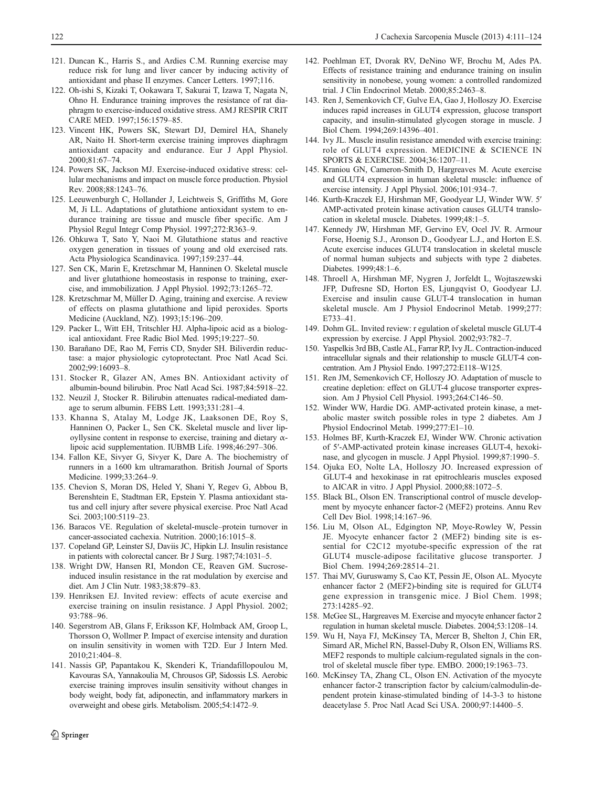- <span id="page-11-0"></span>121. Duncan K., Harris S., and Ardies C.M. Running exercise may reduce risk for lung and liver cancer by inducing activity of antioxidant and phase II enzymes. Cancer Letters. 1997;116.
- 122. Oh-ishi S, Kizaki T, Ookawara T, Sakurai T, Izawa T, Nagata N, Ohno H. Endurance training improves the resistance of rat diaphragm to exercise-induced oxidative stress. AMJ RESPIR CRIT CARE MED. 1997;156:1579–85.
- 123. Vincent HK, Powers SK, Stewart DJ, Demirel HA, Shanely AR, Naito H. Short-term exercise training improves diaphragm antioxidant capacity and endurance. Eur J Appl Physiol. 2000;81:67–74.
- 124. Powers SK, Jackson MJ. Exercise-induced oxidative stress: cellular mechanisms and impact on muscle force production. Physiol Rev. 2008;88:1243–76.
- 125. Leeuwenburgh C, Hollander J, Leichtweis S, Griffiths M, Gore M, Ji LL. Adaptations of glutathione antioxidant system to endurance training are tissue and muscle fiber specific. Am J Physiol Regul Integr Comp Physiol. 1997;272:R363–9.
- 126. Ohkuwa T, Sato Y, Naoi M. Glutathione status and reactive oxygen generation in tissues of young and old exercised rats. Acta Physiologica Scandinavica. 1997;159:237–44.
- 127. Sen CK, Marin E, Kretzschmar M, Hanninen O. Skeletal muscle and liver glutathione homeostasis in response to training, exercise, and immobilization. J Appl Physiol. 1992;73:1265–72.
- 128. Kretzschmar M, Müller D. Aging, training and exercise. A review of effects on plasma glutathione and lipid peroxides. Sports Medicine (Auckland, NZ). 1993;15:196–209.
- 129. Packer L, Witt EH, Tritschler HJ. Alpha-lipoic acid as a biological antioxidant. Free Radic Biol Med. 1995;19:227–50.
- 130. Barañano DE, Rao M, Ferris CD, Snyder SH. Biliverdin reductase: a major physiologic cytoprotectant. Proc Natl Acad Sci. 2002;99:16093–8.
- 131. Stocker R, Glazer AN, Ames BN. Antioxidant activity of albumin-bound bilirubin. Proc Natl Acad Sci. 1987;84:5918–22.
- 132. Neuzil J, Stocker R. Bilirubin attenuates radical-mediated damage to serum albumin. FEBS Lett. 1993;331:281–4.
- 133. Khanna S, Atalay M, Lodge JK, Laaksonen DE, Roy S, Hanninen O, Packer L, Sen CK. Skeletal muscle and liver lipoyllysine content in response to exercise, training and dietary  $\alpha$ lipoic acid supplementation. IUBMB Life. 1998;46:297–306.
- 134. Fallon KE, Sivyer G, Sivyer K, Dare A. The biochemistry of runners in a 1600 km ultramarathon. British Journal of Sports Medicine. 1999;33:264–9.
- 135. Chevion S, Moran DS, Heled Y, Shani Y, Regev G, Abbou B, Berenshtein E, Stadtman ER, Epstein Y. Plasma antioxidant status and cell injury after severe physical exercise. Proc Natl Acad Sci. 2003;100:5119–23.
- 136. Baracos VE. Regulation of skeletal-muscle–protein turnover in cancer-associated cachexia. Nutrition. 2000;16:1015–8.
- 137. Copeland GP, Leinster SJ, Daviis JC, Hipkin LJ. Insulin resistance in patients with colorectal cancer. Br J Surg. 1987;74:1031–5.
- 138. Wright DW, Hansen RI, Mondon CE, Reaven GM. Sucroseinduced insulin resistance in the rat modulation by exercise and diet. Am J Clin Nutr. 1983;38:879–83.
- 139. Henriksen EJ. Invited review: effects of acute exercise and exercise training on insulin resistance. J Appl Physiol. 2002; 93:788–96.
- 140. Segerstrom AB, Glans F, Eriksson KF, Holmback AM, Groop L, Thorsson O, Wollmer P. Impact of exercise intensity and duration on insulin sensitivity in women with T2D. Eur J Intern Med. 2010;21:404–8.
- 141. Nassis GP, Papantakou K, Skenderi K, Triandafillopoulou M, Kavouras SA, Yannakoulia M, Chrousos GP, Sidossis LS. Aerobic exercise training improves insulin sensitivity without changes in body weight, body fat, adiponectin, and inflammatory markers in overweight and obese girls. Metabolism. 2005;54:1472–9.
- 142. Poehlman ET, Dvorak RV, DeNino WF, Brochu M, Ades PA. Effects of resistance training and endurance training on insulin sensitivity in nonobese, young women: a controlled randomized trial. J Clin Endocrinol Metab. 2000;85:2463–8.
- 143. Ren J, Semenkovich CF, Gulve EA, Gao J, Holloszy JO. Exercise induces rapid increases in GLUT4 expression, glucose transport capacity, and insulin-stimulated glycogen storage in muscle. J Biol Chem. 1994;269:14396–401.
- 144. Ivy JL. Muscle insulin resistance amended with exercise training: role of GLUT4 expression. MEDICINE & SCIENCE IN SPORTS & EXERCISE. 2004;36:1207–11.
- 145. Kraniou GN, Cameron-Smith D, Hargreaves M. Acute exercise and GLUT4 expression in human skeletal muscle: influence of exercise intensity. J Appl Physiol. 2006;101:934–7.
- 146. Kurth-Kraczek EJ, Hirshman MF, Goodyear LJ, Winder WW. 5′ AMP-activated protein kinase activation causes GLUT4 translocation in skeletal muscle. Diabetes. 1999;48:1–5.
- 147. Kennedy JW, Hirshman MF, Gervino EV, Ocel JV. R. Armour Forse, Hoenig S.J., Aronson D., Goodyear L.J., and Horton E.S. Acute exercise induces GLUT4 translocation in skeletal muscle of normal human subjects and subjects with type 2 diabetes. Diabetes. 1999;48:1–6.
- 148. Throell A, Hirshman MF, Nygren J, Jorfeldt L, Wojtaszewski JFP, Dufresne SD, Horton ES, Ljungqvist O, Goodyear LJ. Exercise and insulin cause GLUT-4 translocation in human skeletal muscle. Am J Physiol Endocrinol Metab. 1999;277: E733–41.
- 149. Dohm GL. Invited review: r egulation of skeletal muscle GLUT-4 expression by exercise. J Appl Physiol. 2002;93:782–7.
- 150. Yaspelkis 3rd BB, Castle AL, Farrar RP, Ivy JL. Contraction-induced intracellular signals and their relationship to muscle GLUT-4 concentration. Am J Physiol Endo. 1997;272:E118–W125.
- 151. Ren JM, Semenkovich CF, Holloszy JO. Adaptation of muscle to creatine depletion: effect on GLUT-4 glucose transporter expression. Am J Physiol Cell Physiol. 1993;264:C146–50.
- 152. Winder WW, Hardie DG. AMP-activated protein kinase, a metabolic master switch possible roles in type 2 diabetes. Am J Physiol Endocrinol Metab. 1999;277:E1–10.
- 153. Holmes BF, Kurth-Kraczek EJ, Winder WW. Chronic activation of 5′-AMP-activated protein kinase increases GLUT-4, hexokinase, and glycogen in muscle. J Appl Physiol. 1999;87:1990–5.
- 154. Ojuka EO, Nolte LA, Holloszy JO. Increased expression of GLUT-4 and hexokinase in rat epitrochlearis muscles exposed to AICAR in vitro. J Appl Physiol. 2000;88:1072–5.
- 155. Black BL, Olson EN. Transcriptional control of muscle development by myocyte enhancer factor-2 (MEF2) proteins. Annu Rev Cell Dev Biol. 1998;14:167–96.
- 156. Liu M, Olson AL, Edgington NP, Moye-Rowley W, Pessin JE. Myocyte enhancer factor 2 (MEF2) binding site is essential for C2C12 myotube-specific expression of the rat GLUT4 muscle-adipose facilitative glucose transporter. J Biol Chem. 1994;269:28514–21.
- 157. Thai MV, Guruswamy S, Cao KT, Pessin JE, Olson AL. Myocyte enhancer factor 2 (MEF2)-binding site is required for GLUT4 gene expression in transgenic mice. J Biol Chem. 1998; 273:14285–92.
- 158. McGee SL, Hargreaves M. Exercise and myocyte enhancer factor 2 regulation in human skeletal muscle. Diabetes. 2004;53:1208–14.
- 159. Wu H, Naya FJ, McKinsey TA, Mercer B, Shelton J, Chin ER, Simard AR, Michel RN, Bassel-Duby R, Olson EN, Williams RS. MEF2 responds to multiple calcium-regulated signals in the control of skeletal muscle fiber type. EMBO. 2000;19:1963–73.
- 160. McKinsey TA, Zhang CL, Olson EN. Activation of the myocyte enhancer factor-2 transcription factor by calcium/calmodulin-dependent protein kinase-stimulated binding of 14-3-3 to histone deacetylase 5. Proc Natl Acad Sci USA. 2000;97:14400–5.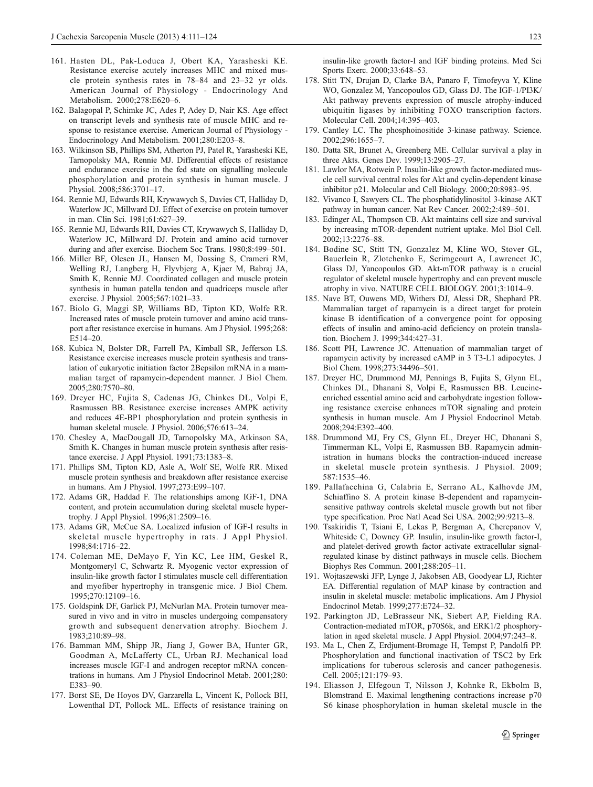- <span id="page-12-0"></span>161. Hasten DL, Pak-Loduca J, Obert KA, Yarasheski KE. Resistance exercise acutely increases MHC and mixed muscle protein synthesis rates in 78–84 and 23–32 yr olds. American Journal of Physiology - Endocrinology And Metabolism. 2000;278:E620–6.
- 162. Balagopal P, Schimke JC, Ades P, Adey D, Nair KS. Age effect on transcript levels and synthesis rate of muscle MHC and response to resistance exercise. American Journal of Physiology - Endocrinology And Metabolism. 2001;280:E203–8.
- 163. Wilkinson SB, Phillips SM, Atherton PJ, Patel R, Yarasheski KE, Tarnopolsky MA, Rennie MJ. Differential effects of resistance and endurance exercise in the fed state on signalling molecule phosphorylation and protein synthesis in human muscle. J Physiol. 2008;586:3701–17.
- 164. Rennie MJ, Edwards RH, Krywawych S, Davies CT, Halliday D, Waterlow JC, Millward DJ. Effect of exercise on protein turnover in man. Clin Sci. 1981;61:627–39.
- 165. Rennie MJ, Edwards RH, Davies CT, Krywawych S, Halliday D, Waterlow JC, Millward DJ. Protein and amino acid turnover during and after exercise. Biochem Soc Trans. 1980;8:499–501.
- 166. Miller BF, Olesen JL, Hansen M, Dossing S, Crameri RM, Welling RJ, Langberg H, Flyvbjerg A, Kjaer M, Babraj JA, Smith K, Rennie MJ. Coordinated collagen and muscle protein synthesis in human patella tendon and quadriceps muscle after exercise. J Physiol. 2005;567:1021–33.
- 167. Biolo G, Maggi SP, Williams BD, Tipton KD, Wolfe RR. Increased rates of muscle protein turnover and amino acid transport after resistance exercise in humans. Am J Physiol. 1995;268: E514–20.
- 168. Kubica N, Bolster DR, Farrell PA, Kimball SR, Jefferson LS. Resistance exercise increases muscle protein synthesis and translation of eukaryotic initiation factor 2Bepsilon mRNA in a mammalian target of rapamycin-dependent manner. J Biol Chem. 2005;280:7570–80.
- 169. Dreyer HC, Fujita S, Cadenas JG, Chinkes DL, Volpi E, Rasmussen BB. Resistance exercise increases AMPK activity and reduces 4E-BP1 phosphorylation and protein synthesis in human skeletal muscle. J Physiol. 2006;576:613–24.
- 170. Chesley A, MacDougall JD, Tarnopolsky MA, Atkinson SA, Smith K. Changes in human muscle protein synthesis after resistance exercise. J Appl Physiol. 1991;73:1383–8.
- 171. Phillips SM, Tipton KD, Asle A, Wolf SE, Wolfe RR. Mixed muscle protein synthesis and breakdown after resistance exercise in humans. Am J Physiol. 1997;273:E99–107.
- 172. Adams GR, Haddad F. The relationships among IGF-1, DNA content, and protein accumulation during skeletal muscle hypertrophy. J Appl Physiol. 1996;81:2509–16.
- 173. Adams GR, McCue SA. Localized infusion of IGF-I results in skeletal muscle hypertrophy in rats. J Appl Physiol. 1998;84:1716–22.
- 174. Coleman ME, DeMayo F, Yin KC, Lee HM, Geskel R, Montgomeryl C, Schwartz R. Myogenic vector expression of insulin-like growth factor I stimulates muscle cell differentiation and myofiber hypertrophy in transgenic mice. J Biol Chem. 1995;270:12109–16.
- 175. Goldspink DF, Garlick PJ, McNurlan MA. Protein turnover measured in vivo and in vitro in muscles undergoing compensatory growth and subsequent denervation atrophy. Biochem J. 1983;210:89–98.
- 176. Bamman MM, Shipp JR, Jiang J, Gower BA, Hunter GR, Goodman A, McLafferty CL, Urban RJ. Mechanical load increases muscle IGF-I and androgen receptor mRNA concentrations in humans. Am J Physiol Endocrinol Metab. 2001;280: E383–90.
- 177. Borst SE, De Hoyos DV, Garzarella L, Vincent K, Pollock BH, Lowenthal DT, Pollock ML. Effects of resistance training on

insulin-like growth factor-I and IGF binding proteins. Med Sci Sports Exerc. 2000;33:648–53.

- 178. Stitt TN, Drujan D, Clarke BA, Panaro F, Timofeyva Y, Kline WO, Gonzalez M, Yancopoulos GD, Glass DJ. The IGF-1/PI3K/ Akt pathway prevents expression of muscle atrophy-induced ubiquitin ligases by inhibiting FOXO transcription factors. Molecular Cell. 2004;14:395–403.
- 179. Cantley LC. The phosphoinositide 3-kinase pathway. Science. 2002;296:1655–7.
- 180. Datta SR, Brunet A, Greenberg ME. Cellular survival a play in three Akts. Genes Dev. 1999;13:2905–27.
- 181. Lawlor MA, Rotwein P. Insulin-like growth factor-mediated muscle cell survival central roles for Akt and cyclin-dependent kinase inhibitor p21. Molecular and Cell Biology. 2000;20:8983–95.
- 182. Vivanco I, Sawyers CL. The phosphatidylinositol 3-kinase AKT pathway in human cancer. Nat Rev Cancer. 2002;2:489–501.
- 183. Edinger AL, Thompson CB. Akt maintains cell size and survival by increasing mTOR-dependent nutrient uptake. Mol Biol Cell. 2002;13:2276–88.
- 184. Bodine SC, Stitt TN, Gonzalez M, Kline WO, Stover GL, Bauerlein R, Zlotchenko E, Scrimgeourt A, Lawrencet JC, Glass DJ, Yancopoulos GD. Akt-mTOR pathway is a crucial regulator of skeletal muscle hypertrophy and can prevent muscle atrophy in vivo. NATURE CELL BIOLOGY. 2001;3:1014–9.
- 185. Nave BT, Ouwens MD, Withers DJ, Alessi DR, Shephard PR. Mammalian target of rapamycin is a direct target for protein kinase B identification of a convergence point for opposing effects of insulin and amino-acid deficiency on protein translation. Biochem J. 1999;344:427–31.
- 186. Scott PH, Lawrence JC. Attenuation of mammalian target of rapamycin activity by increased cAMP in 3 T3-L1 adipocytes. J Biol Chem. 1998;273:34496–501.
- 187. Dreyer HC, Drummond MJ, Pennings B, Fujita S, Glynn EL, Chinkes DL, Dhanani S, Volpi E, Rasmussen BB. Leucineenriched essential amino acid and carbohydrate ingestion following resistance exercise enhances mTOR signaling and protein synthesis in human muscle. Am J Physiol Endocrinol Metab. 2008;294:E392–400.
- 188. Drummond MJ, Fry CS, Glynn EL, Dreyer HC, Dhanani S, Timmerman KL, Volpi E, Rasmussen BB. Rapamycin administration in humans blocks the contraction-induced increase in skeletal muscle protein synthesis. J Physiol. 2009; 587:1535–46.
- 189. Pallafacchina G, Calabria E, Serrano AL, Kalhovde JM, Schiaffino S. A protein kinase B-dependent and rapamycinsensitive pathway controls skeletal muscle growth but not fiber type specification. Proc Natl Acad Sci USA. 2002;99:9213–8.
- 190. Tsakiridis T, Tsiani E, Lekas P, Bergman A, Cherepanov V, Whiteside C, Downey GP. Insulin, insulin-like growth factor-I, and platelet-derived growth factor activate extracellular signalregulated kinase by distinct pathways in muscle cells. Biochem Biophys Res Commun. 2001;288:205–11.
- 191. Wojtaszewski JFP, Lynge J, Jakobsen AB, Goodyear LJ, Richter EA. Differential regulation of MAP kinase by contraction and insulin in skeletal muscle: metabolic implications. Am J Physiol Endocrinol Metab. 1999;277:E724–32.
- 192. Parkington JD, LeBrasseur NK, Siebert AP, Fielding RA. Contraction-mediated mTOR, p70S6k, and ERK1/2 phosphorylation in aged skeletal muscle. J Appl Physiol. 2004;97:243–8.
- 193. Ma L, Chen Z, Erdjument-Bromage H, Tempst P, Pandolfi PP. Phosphorylation and functional inactivation of TSC2 by Erk implications for tuberous sclerosis and cancer pathogenesis. Cell. 2005;121:179–93.
- 194. Eliasson J, Elfegoun T, Nilsson J, Kohnke R, Ekbolm B, Blomstrand E. Maximal lengthening contractions increase p70 S6 kinase phosphorylation in human skeletal muscle in the